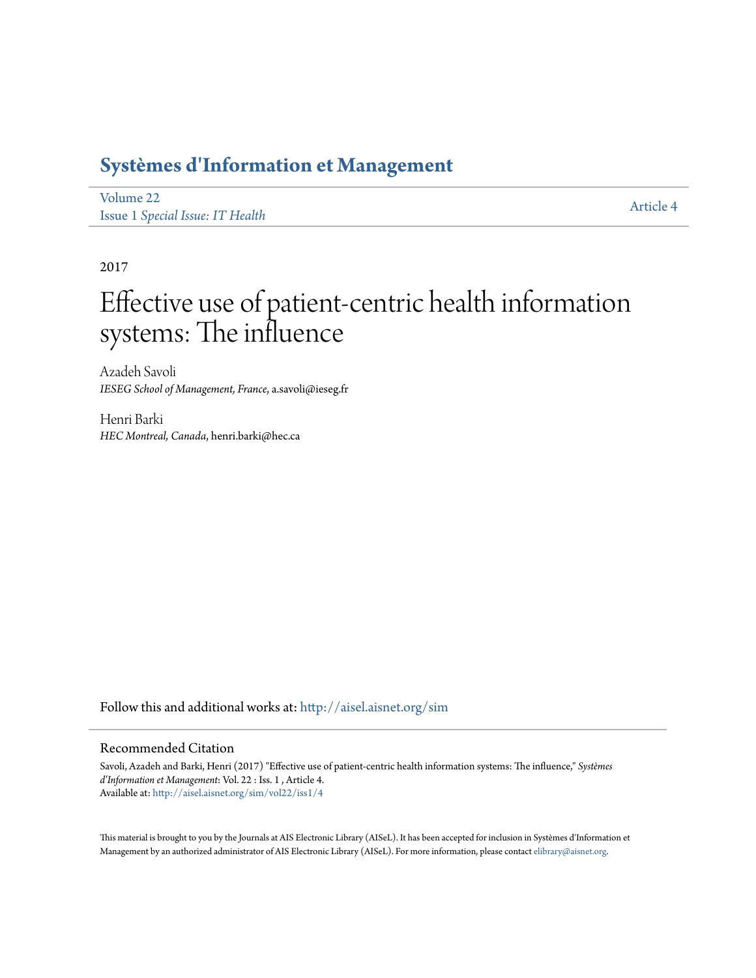## **[Systèmes d'Information et Management](http://aisel.aisnet.org/sim?utm_source=aisel.aisnet.org%2Fsim%2Fvol22%2Fiss1%2F4&utm_medium=PDF&utm_campaign=PDFCoverPages)**

[Volume 22](http://aisel.aisnet.org/sim/vol22?utm_source=aisel.aisnet.org%2Fsim%2Fvol22%2Fiss1%2F4&utm_medium=PDF&utm_campaign=PDFCoverPages) Issue 1 *[Special Issue: IT Health](http://aisel.aisnet.org/sim/vol22/iss1?utm_source=aisel.aisnet.org%2Fsim%2Fvol22%2Fiss1%2F4&utm_medium=PDF&utm_campaign=PDFCoverPages)*

[Article 4](http://aisel.aisnet.org/sim/vol22/iss1/4?utm_source=aisel.aisnet.org%2Fsim%2Fvol22%2Fiss1%2F4&utm_medium=PDF&utm_campaign=PDFCoverPages)

2017

# Effective use of patient-centric health information systems: The influence

Azadeh Savoli *IESEG School of Management, France*, a.savoli@ieseg.fr

Henri Barki *HEC Montreal, Canada*, henri.barki@hec.ca

Follow this and additional works at: [http://aisel.aisnet.org/sim](http://aisel.aisnet.org/sim?utm_source=aisel.aisnet.org%2Fsim%2Fvol22%2Fiss1%2F4&utm_medium=PDF&utm_campaign=PDFCoverPages)

#### Recommended Citation

Savoli, Azadeh and Barki, Henri (2017) "Effective use of patient-centric health information systems: The influence," *Systèmes d'Information et Management*: Vol. 22 : Iss. 1 , Article 4. Available at: [http://aisel.aisnet.org/sim/vol22/iss1/4](http://aisel.aisnet.org/sim/vol22/iss1/4?utm_source=aisel.aisnet.org%2Fsim%2Fvol22%2Fiss1%2F4&utm_medium=PDF&utm_campaign=PDFCoverPages)

This material is brought to you by the Journals at AIS Electronic Library (AISeL). It has been accepted for inclusion in Systèmes d'Information et Management by an authorized administrator of AIS Electronic Library (AISeL). For more information, please contact [elibrary@aisnet.org](mailto:elibrary@aisnet.org%3E).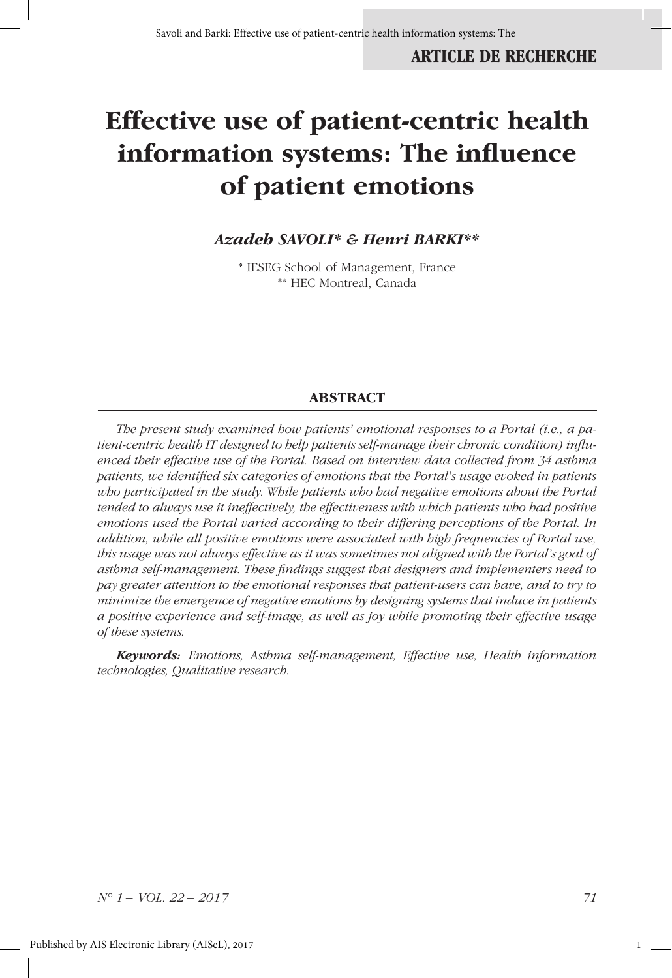## **Effective use of patient-centric health information systems: The influence of patient emotions**

## *Azadeh SAVOLI\* & Henri BARKI\*\**

\* IESEG School of Management, France \*\* HEC Montreal, Canada

#### **ABSTRACT**

*The present study examined how patients' emotional responses to a Portal (i.e., a patient-centric health IT designed to help patients self-manage their chronic condition) influenced their effective use of the Portal. Based on interview data collected from 34 asthma patients, we identified six categories of emotions that the Portal's usage evoked in patients who participated in the study. While patients who had negative emotions about the Portal tended to always use it ineffectively, the effectiveness with which patients who had positive emotions used the Portal varied according to their differing perceptions of the Portal. In addition, while all positive emotions were associated with high frequencies of Portal use, this usage was not always effective as it was sometimes not aligned with the Portal's goal of asthma self-management. These findings suggest that designers and implementers need to pay greater attention to the emotional responses that patient-users can have, and to try to minimize the emergence of negative emotions by designing systems that induce in patients a positive experience and self-image, as well as joy while promoting their effective usage of these systems.* 

*Keywords: Emotions, Asthma self-management, Effective use, Health information technologies, Qualitative research.*

*N° 1 – VOL. 22 – 2017 71*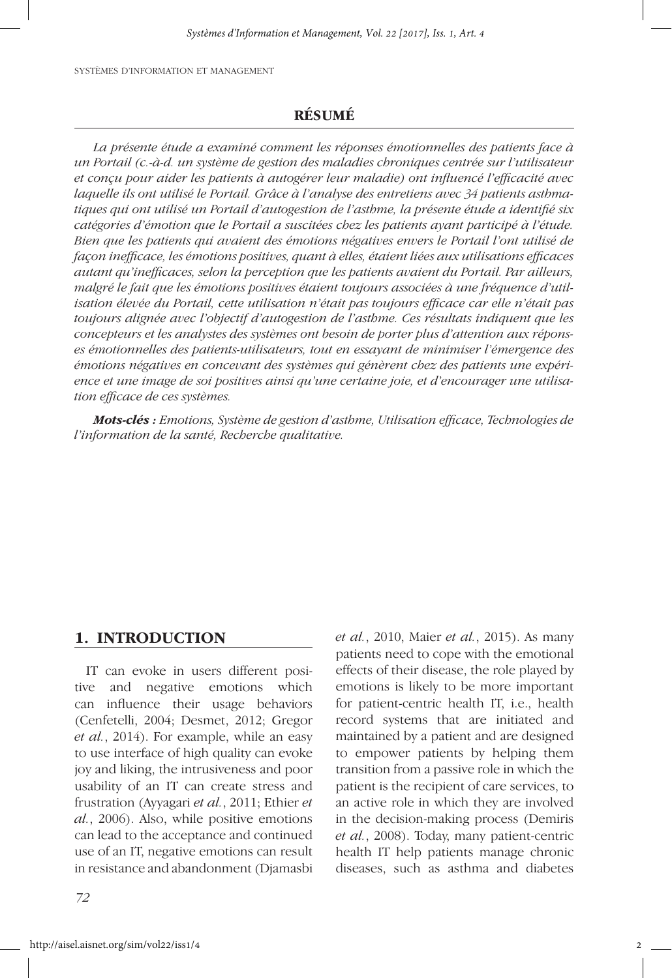## **RÉSUMÉ**

*La présente étude a examiné comment les réponses émotionnelles des patients face à un Portail (c.-à-d. un système de gestion des maladies chroniques centrée sur l'utilisateur et conçu pour aider les patients à autogérer leur maladie) ont influencé l'efficacité avec laquelle ils ont utilisé le Portail. Grâce à l'analyse des entretiens avec 34 patients asthmatiques qui ont utilisé un Portail d'autogestion de l'asthme, la présente étude a identifié six catégories d'émotion que le Portail a suscitées chez les patients ayant participé à l'étude. Bien que les patients qui avaient des émotions négatives envers le Portail l'ont utilisé de façon inefficace, les émotions positives, quant à elles, étaient liées aux utilisations efficaces autant qu'inefficaces, selon la perception que les patients avaient du Portail. Par ailleurs, malgré le fait que les émotions positives étaient toujours associées à une fréquence d'utilisation élevée du Portail, cette utilisation n'était pas toujours efficace car elle n'était pas toujours alignée avec l'objectif d'autogestion de l'asthme. Ces résultats indiquent que les concepteurs et les analystes des systèmes ont besoin de porter plus d'attention aux réponses émotionnelles des patients-utilisateurs, tout en essayant de minimiser l'émergence des émotions négatives en concevant des systèmes qui génèrent chez des patients une expérience et une image de soi positives ainsi qu'une certaine joie, et d'encourager une utilisation efficace de ces systèmes.* 

*Mots-clés : Emotions, Système de gestion d'asthme, Utilisation efficace, Technologies de l'information de la santé, Recherche qualitative.*

#### **1. INTRODUCTION**

IT can evoke in users different positive and negative emotions which can influence their usage behaviors (Cenfetelli, 2004; Desmet, 2012; Gregor *et al.*, 2014). For example, while an easy to use interface of high quality can evoke joy and liking, the intrusiveness and poor usability of an IT can create stress and frustration (Ayyagari *et al.*, 2011; Ethier *et al.*, 2006). Also, while positive emotions can lead to the acceptance and continued use of an IT, negative emotions can result in resistance and abandonment (Djamasbi

*72*

*et al.*, 2010, Maier *et al.*, 2015). As many patients need to cope with the emotional effects of their disease, the role played by emotions is likely to be more important for patient-centric health IT, i.e., health record systems that are initiated and maintained by a patient and are designed to empower patients by helping them transition from a passive role in which the patient is the recipient of care services, to an active role in which they are involved in the decision-making process (Demiris *et al.*, 2008). Today, many patient-centric health IT help patients manage chronic diseases, such as asthma and diabetes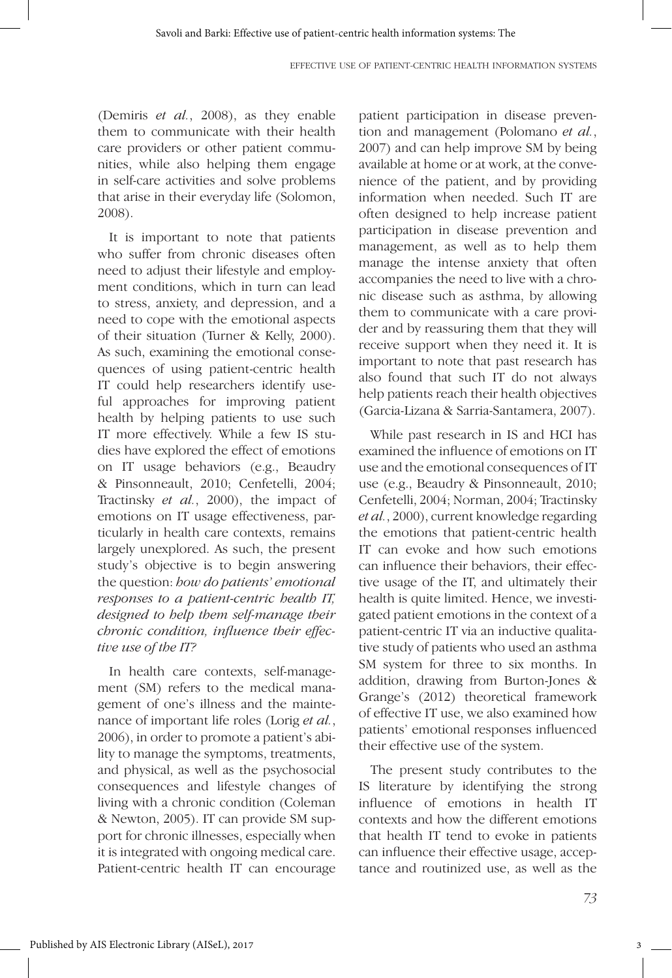(Demiris *et al.*, 2008), as they enable them to communicate with their health care providers or other patient communities, while also helping them engage in self-care activities and solve problems that arise in their everyday life (Solomon, 2008).

It is important to note that patients who suffer from chronic diseases often need to adjust their lifestyle and employment conditions, which in turn can lead to stress, anxiety, and depression, and a need to cope with the emotional aspects of their situation (Turner & Kelly, 2000). As such, examining the emotional consequences of using patient-centric health IT could help researchers identify useful approaches for improving patient health by helping patients to use such IT more effectively. While a few IS studies have explored the effect of emotions on IT usage behaviors (e.g., Beaudry & Pinsonneault, 2010; Cenfetelli, 2004; Tractinsky *et al.*, 2000), the impact of emotions on IT usage effectiveness, particularly in health care contexts, remains largely unexplored. As such, the present study's objective is to begin answering the question: *how do patients' emotional responses to a patient-centric health IT, designed to help them self-manage their chronic condition, influence their effective use of the IT?*

In health care contexts, self-management (SM) refers to the medical management of one's illness and the maintenance of important life roles (Lorig *et al.*, 2006), in order to promote a patient's ability to manage the symptoms, treatments, and physical, as well as the psychosocial consequences and lifestyle changes of living with a chronic condition (Coleman & Newton, 2005). IT can provide SM support for chronic illnesses, especially when it is integrated with ongoing medical care. Patient-centric health IT can encourage

patient participation in disease prevention and management (Polomano *et al.*, 2007) and can help improve SM by being available at home or at work, at the convenience of the patient, and by providing information when needed. Such IT are often designed to help increase patient participation in disease prevention and management, as well as to help them manage the intense anxiety that often accompanies the need to live with a chronic disease such as asthma, by allowing them to communicate with a care provider and by reassuring them that they will receive support when they need it. It is important to note that past research has also found that such IT do not always help patients reach their health objectives (Garcia-Lizana & Sarria-Santamera, 2007).

While past research in IS and HCI has examined the influence of emotions on IT use and the emotional consequences of IT use (e.g., Beaudry & Pinsonneault, 2010; Cenfetelli, 2004; Norman, 2004; Tractinsky *et al.*, 2000), current knowledge regarding the emotions that patient-centric health IT can evoke and how such emotions can influence their behaviors, their effective usage of the IT, and ultimately their health is quite limited. Hence, we investigated patient emotions in the context of a patient-centric IT via an inductive qualitative study of patients who used an asthma SM system for three to six months. In addition, drawing from Burton-Jones & Grange's (2012) theoretical framework of effective IT use, we also examined how patients' emotional responses influenced their effective use of the system.

The present study contributes to the IS literature by identifying the strong influence of emotions in health IT contexts and how the different emotions that health IT tend to evoke in patients can influence their effective usage, acceptance and routinized use, as well as the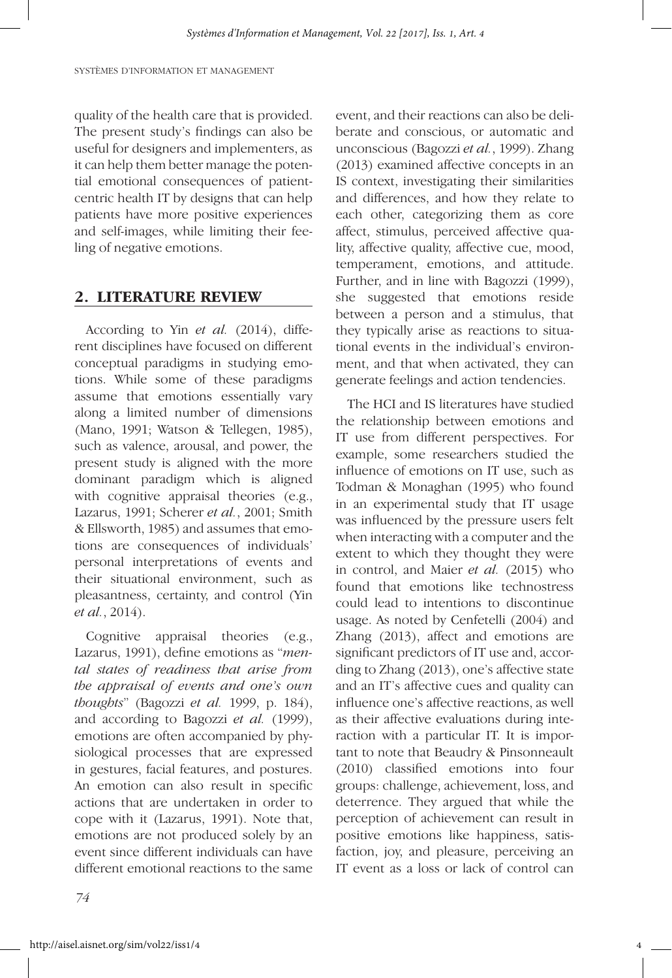quality of the health care that is provided. The present study's findings can also be useful for designers and implementers, as it can help them better manage the potential emotional consequences of patientcentric health IT by designs that can help patients have more positive experiences and self-images, while limiting their feeling of negative emotions.

#### **2. LITERATURE REVIEW**

According to Yin *et al.* (2014), different disciplines have focused on different conceptual paradigms in studying emotions. While some of these paradigms assume that emotions essentially vary along a limited number of dimensions (Mano, 1991; Watson & Tellegen, 1985), such as valence, arousal, and power, the present study is aligned with the more dominant paradigm which is aligned with cognitive appraisal theories (e.g., Lazarus, 1991; Scherer *et al.*, 2001; Smith & Ellsworth, 1985) and assumes that emotions are consequences of individuals' personal interpretations of events and their situational environment, such as pleasantness, certainty, and control (Yin *et al.*, 2014).

Cognitive appraisal theories (e.g., Lazarus, 1991), define emotions as "*mental states of readiness that arise from the appraisal of events and one's own thoughts*" (Bagozzi *et al.* 1999, p. 184), and according to Bagozzi *et al.* (1999), emotions are often accompanied by physiological processes that are expressed in gestures, facial features, and postures. An emotion can also result in specific actions that are undertaken in order to cope with it (Lazarus, 1991). Note that, emotions are not produced solely by an event since different individuals can have different emotional reactions to the same event, and their reactions can also be deliberate and conscious, or automatic and unconscious (Bagozzi *et al.*, 1999). Zhang (2013) examined affective concepts in an IS context, investigating their similarities and differences, and how they relate to each other, categorizing them as core affect, stimulus, perceived affective quality, affective quality, affective cue, mood, temperament, emotions, and attitude. Further, and in line with Bagozzi (1999), she suggested that emotions reside between a person and a stimulus, that they typically arise as reactions to situational events in the individual's environment, and that when activated, they can generate feelings and action tendencies.

The HCI and IS literatures have studied the relationship between emotions and IT use from different perspectives. For example, some researchers studied the influence of emotions on IT use, such as Todman & Monaghan (1995) who found in an experimental study that IT usage was influenced by the pressure users felt when interacting with a computer and the extent to which they thought they were in control, and Maier *et al.* (2015) who found that emotions like technostress could lead to intentions to discontinue usage. As noted by Cenfetelli (2004) and Zhang (2013), affect and emotions are significant predictors of IT use and, according to Zhang (2013), one's affective state and an IT's affective cues and quality can influence one's affective reactions, as well as their affective evaluations during interaction with a particular IT. It is important to note that Beaudry & Pinsonneault (2010) classified emotions into four groups: challenge, achievement, loss, and deterrence. They argued that while the perception of achievement can result in positive emotions like happiness, satisfaction, joy, and pleasure, perceiving an IT event as a loss or lack of control can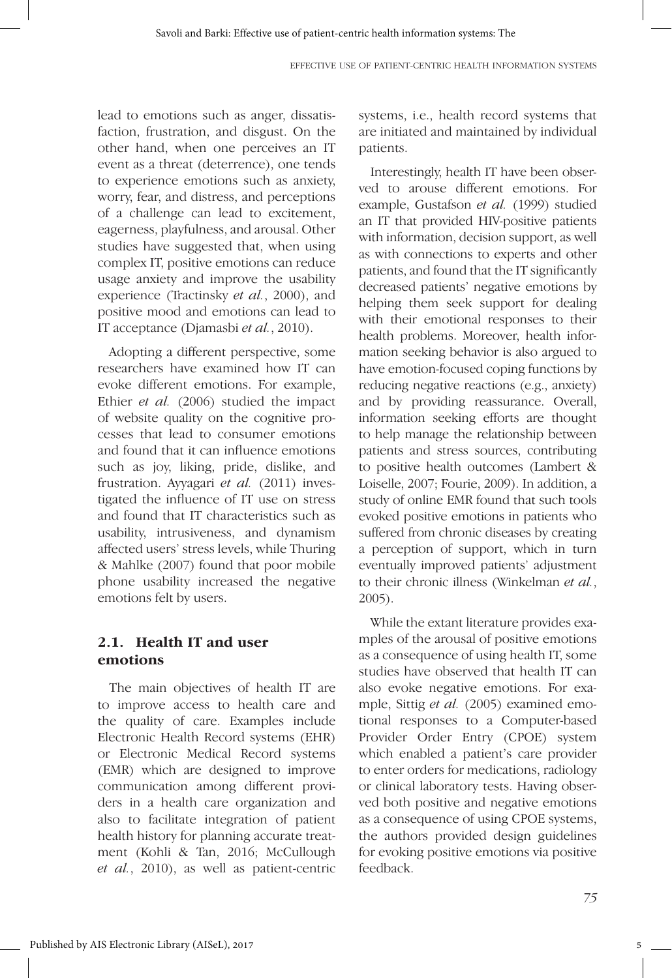lead to emotions such as anger, dissatisfaction, frustration, and disgust. On the other hand, when one perceives an IT event as a threat (deterrence), one tends to experience emotions such as anxiety, worry, fear, and distress, and perceptions of a challenge can lead to excitement, eagerness, playfulness, and arousal. Other studies have suggested that, when using complex IT, positive emotions can reduce usage anxiety and improve the usability experience (Tractinsky *et al.*, 2000), and positive mood and emotions can lead to IT acceptance (Djamasbi *et al.*, 2010).

Adopting a different perspective, some researchers have examined how IT can evoke different emotions. For example, Ethier *et al.* (2006) studied the impact of website quality on the cognitive processes that lead to consumer emotions and found that it can influence emotions such as joy, liking, pride, dislike, and frustration. Ayyagari *et al.* (2011) investigated the influence of IT use on stress and found that IT characteristics such as usability, intrusiveness, and dynamism affected users' stress levels, while Thuring & Mahlke (2007) found that poor mobile phone usability increased the negative emotions felt by users.

## **2.1. Health IT and user emotions**

The main objectives of health IT are to improve access to health care and the quality of care. Examples include Electronic Health Record systems (EHR) or Electronic Medical Record systems (EMR) which are designed to improve communication among different providers in a health care organization and also to facilitate integration of patient health history for planning accurate treatment (Kohli & Tan, 2016; McCullough *et al.*, 2010), as well as patient-centric systems, i.e., health record systems that are initiated and maintained by individual patients.

Interestingly, health IT have been observed to arouse different emotions. For example, Gustafson *et al.* (1999) studied an IT that provided HIV-positive patients with information, decision support, as well as with connections to experts and other patients, and found that the IT significantly decreased patients' negative emotions by helping them seek support for dealing with their emotional responses to their health problems. Moreover, health information seeking behavior is also argued to have emotion-focused coping functions by reducing negative reactions (e.g., anxiety) and by providing reassurance. Overall, information seeking efforts are thought to help manage the relationship between patients and stress sources, contributing to positive health outcomes (Lambert & Loiselle, 2007; Fourie, 2009). In addition, a study of online EMR found that such tools evoked positive emotions in patients who suffered from chronic diseases by creating a perception of support, which in turn eventually improved patients' adjustment to their chronic illness (Winkelman *et al.*, 2005).

While the extant literature provides examples of the arousal of positive emotions as a consequence of using health IT, some studies have observed that health IT can also evoke negative emotions. For example, Sittig *et al.* (2005) examined emotional responses to a Computer-based Provider Order Entry (CPOE) system which enabled a patient's care provider to enter orders for medications, radiology or clinical laboratory tests. Having observed both positive and negative emotions as a consequence of using CPOE systems, the authors provided design guidelines for evoking positive emotions via positive feedback.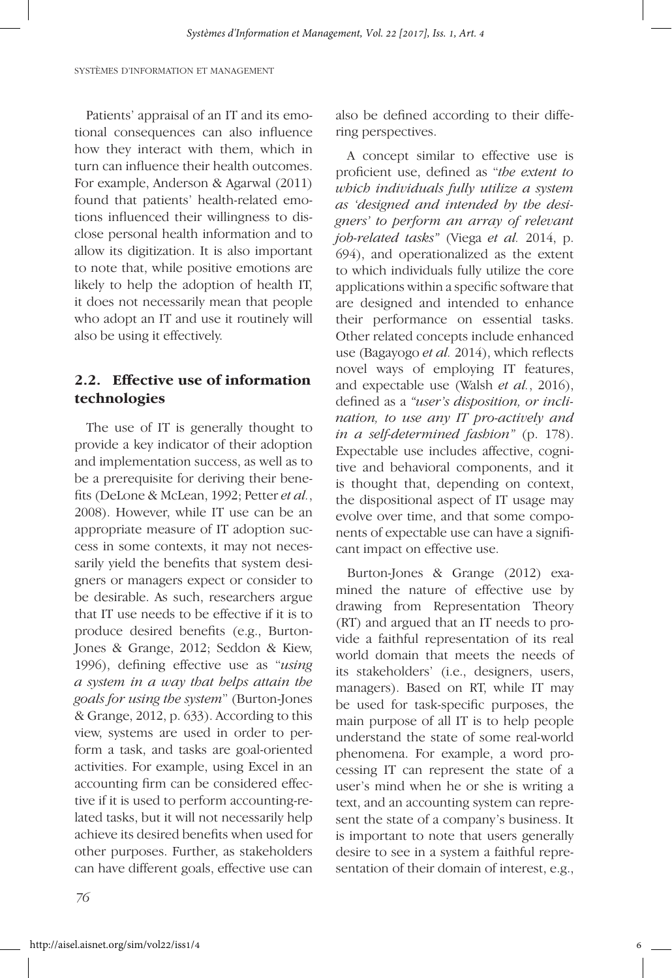Patients' appraisal of an IT and its emotional consequences can also influence how they interact with them, which in turn can influence their health outcomes. For example, Anderson & Agarwal (2011) found that patients' health-related emotions influenced their willingness to disclose personal health information and to allow its digitization. It is also important to note that, while positive emotions are likely to help the adoption of health IT, it does not necessarily mean that people who adopt an IT and use it routinely will also be using it effectively.

## **2.2. Effective use of information technologies**

The use of IT is generally thought to provide a key indicator of their adoption and implementation success, as well as to be a prerequisite for deriving their benefits (DeLone & McLean, 1992; Petter *et al.*, 2008). However, while IT use can be an appropriate measure of IT adoption success in some contexts, it may not necessarily yield the benefits that system designers or managers expect or consider to be desirable. As such, researchers argue that IT use needs to be effective if it is to produce desired benefits (e.g., Burton-Jones & Grange, 2012; Seddon & Kiew, 1996), defining effective use as "*using a system in a way that helps attain the goals for using the system*" (Burton-Jones & Grange, 2012, p. 633). According to this view, systems are used in order to perform a task, and tasks are goal-oriented activities. For example, using Excel in an accounting firm can be considered effective if it is used to perform accounting-related tasks, but it will not necessarily help achieve its desired benefits when used for other purposes. Further, as stakeholders can have different goals, effective use can

also be defined according to their differing perspectives.

A concept similar to effective use is proficient use, defined as "*the extent to which individuals fully utilize a system as 'designed and intended by the designers' to perform an array of relevant job-related tasks"* (Viega *et al.* 2014, p. 694), and operationalized as the extent to which individuals fully utilize the core applications within a specific software that are designed and intended to enhance their performance on essential tasks. Other related concepts include enhanced use (Bagayogo *et al.* 2014), which reflects novel ways of employing IT features, and expectable use (Walsh *et al.*, 2016), defined as a *"user's disposition, or inclination, to use any IT pro-actively and in a self-determined fashion"* (p. 178). Expectable use includes affective, cognitive and behavioral components, and it is thought that, depending on context, the dispositional aspect of IT usage may evolve over time, and that some components of expectable use can have a significant impact on effective use.

Burton-Jones & Grange (2012) examined the nature of effective use by drawing from Representation Theory (RT) and argued that an IT needs to provide a faithful representation of its real world domain that meets the needs of its stakeholders' (i.e., designers, users, managers). Based on RT, while IT may be used for task-specific purposes, the main purpose of all IT is to help people understand the state of some real-world phenomena. For example, a word processing IT can represent the state of a user's mind when he or she is writing a text, and an accounting system can represent the state of a company's business. It is important to note that users generally desire to see in a system a faithful representation of their domain of interest, e.g.,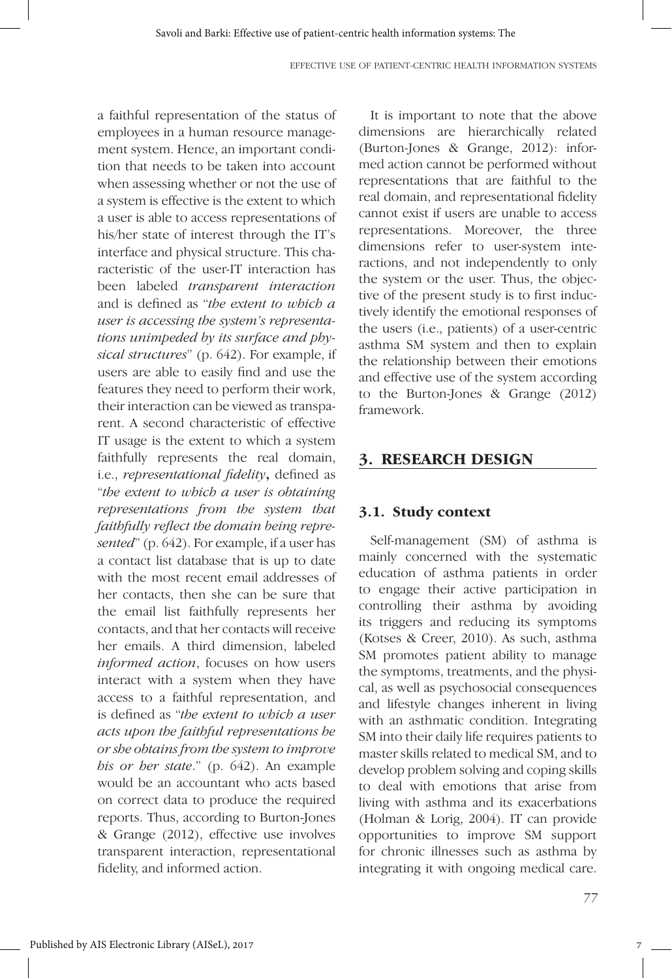a faithful representation of the status of employees in a human resource management system. Hence, an important condition that needs to be taken into account when assessing whether or not the use of a system is effective is the extent to which a user is able to access representations of his/her state of interest through the IT's interface and physical structure. This characteristic of the user-IT interaction has been labeled *transparent interaction* and is defined as "*the extent to which a user is accessing the system's representations unimpeded by its surface and physical structures*" (p. 642). For example, if users are able to easily find and use the features they need to perform their work, their interaction can be viewed as transparent. A second characteristic of effective IT usage is the extent to which a system faithfully represents the real domain, i.e., *representational fidelity***,** defined as "*the extent to which a user is obtaining representations from the system that faithfully reflect the domain being represented*" (p. 642). For example, if a user has a contact list database that is up to date with the most recent email addresses of her contacts, then she can be sure that the email list faithfully represents her contacts, and that her contacts will receive her emails. A third dimension, labeled *informed action*, focuses on how users interact with a system when they have access to a faithful representation, and is defined as "*the extent to which a user acts upon the faithful representations he or she obtains from the system to improve his or her state*." (p. 642). An example would be an accountant who acts based on correct data to produce the required reports. Thus, according to Burton-Jones & Grange (2012), effective use involves transparent interaction, representational fidelity, and informed action.

It is important to note that the above dimensions are hierarchically related (Burton-Jones & Grange, 2012): informed action cannot be performed without representations that are faithful to the real domain, and representational fidelity cannot exist if users are unable to access representations. Moreover, the three dimensions refer to user-system interactions, and not independently to only the system or the user. Thus, the objective of the present study is to first inductively identify the emotional responses of the users (i.e., patients) of a user-centric asthma SM system and then to explain the relationship between their emotions and effective use of the system according to the Burton-Jones & Grange (2012) framework.

## **3. RESEARCH DESIGN**

#### **3.1. Study context**

Self-management (SM) of asthma is mainly concerned with the systematic education of asthma patients in order to engage their active participation in controlling their asthma by avoiding its triggers and reducing its symptoms (Kotses & Creer, 2010). As such, asthma SM promotes patient ability to manage the symptoms, treatments, and the physical, as well as psychosocial consequences and lifestyle changes inherent in living with an asthmatic condition. Integrating SM into their daily life requires patients to master skills related to medical SM, and to develop problem solving and coping skills to deal with emotions that arise from living with asthma and its exacerbations (Holman & Lorig, 2004). IT can provide opportunities to improve SM support for chronic illnesses such as asthma by integrating it with ongoing medical care.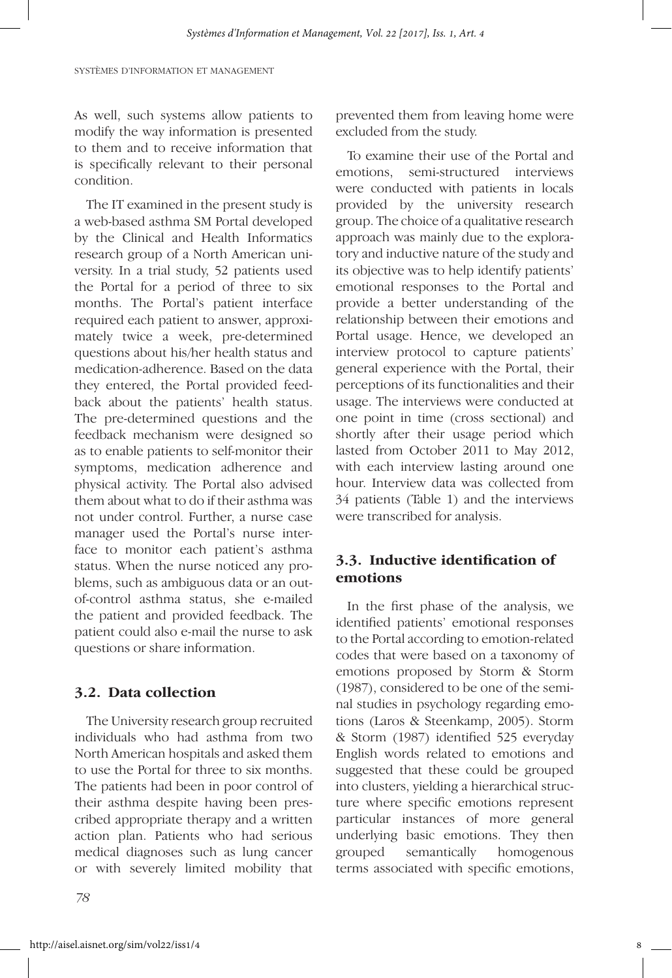As well, such systems allow patients to modify the way information is presented to them and to receive information that is specifically relevant to their personal condition.

The IT examined in the present study is a web-based asthma SM Portal developed by the Clinical and Health Informatics research group of a North American university. In a trial study, 52 patients used the Portal for a period of three to six months. The Portal's patient interface required each patient to answer, approximately twice a week, pre-determined questions about his/her health status and medication-adherence. Based on the data they entered, the Portal provided feedback about the patients' health status. The pre-determined questions and the feedback mechanism were designed so as to enable patients to self-monitor their symptoms, medication adherence and physical activity. The Portal also advised them about what to do if their asthma was not under control. Further, a nurse case manager used the Portal's nurse interface to monitor each patient's asthma status. When the nurse noticed any problems, such as ambiguous data or an outof-control asthma status, she e-mailed the patient and provided feedback. The patient could also e-mail the nurse to ask questions or share information.

#### **3.2. Data collection**

The University research group recruited individuals who had asthma from two North American hospitals and asked them to use the Portal for three to six months. The patients had been in poor control of their asthma despite having been prescribed appropriate therapy and a written action plan. Patients who had serious medical diagnoses such as lung cancer or with severely limited mobility that

prevented them from leaving home were excluded from the study.

To examine their use of the Portal and emotions, semi-structured interviews were conducted with patients in locals provided by the university research group. The choice of a qualitative research approach was mainly due to the exploratory and inductive nature of the study and its objective was to help identify patients' emotional responses to the Portal and provide a better understanding of the relationship between their emotions and Portal usage. Hence, we developed an interview protocol to capture patients' general experience with the Portal, their perceptions of its functionalities and their usage. The interviews were conducted at one point in time (cross sectional) and shortly after their usage period which lasted from October 2011 to May 2012, with each interview lasting around one hour. Interview data was collected from 34 patients (Table 1) and the interviews were transcribed for analysis.

## **3.3. Inductive identification of emotions**

In the first phase of the analysis, we identified patients' emotional responses to the Portal according to emotion-related codes that were based on a taxonomy of emotions proposed by Storm & Storm (1987), considered to be one of the seminal studies in psychology regarding emotions (Laros & Steenkamp, 2005). Storm & Storm (1987) identified 525 everyday English words related to emotions and suggested that these could be grouped into clusters, yielding a hierarchical structure where specific emotions represent particular instances of more general underlying basic emotions. They then grouped semantically homogenous terms associated with specific emotions,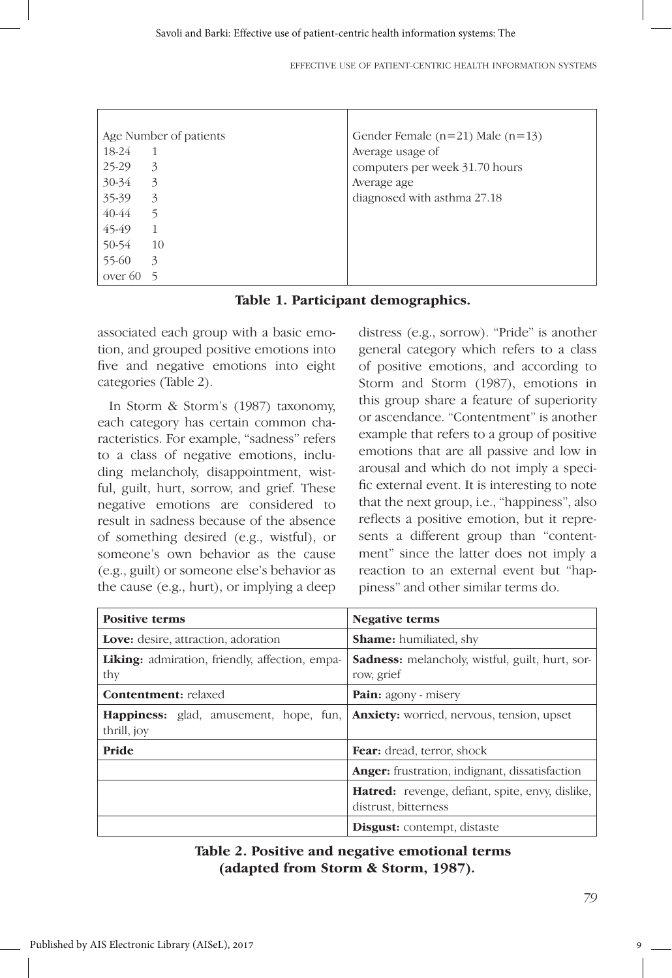EFFECTIVE USE OF PATIENT-CENTRIC HEALTH INFORMATION SYSTEMS

| Age Number of patients |                | Gender Female $(n=21)$ Male $(n=13)$ |  |
|------------------------|----------------|--------------------------------------|--|
| 18-24                  | $\overline{1}$ | Average usage of                     |  |
| 25-29                  | 3              | computers per week 31.70 hours       |  |
| $30 - 34$              | 3              | Average age                          |  |
| 35-39                  | 3              | diagnosed with asthma 27.18          |  |
| $40 - 44$              | 5              |                                      |  |
| 45-49                  | -1             |                                      |  |
| 50-54                  | <sup>10</sup>  |                                      |  |
| 55-60                  | 3              |                                      |  |
| over $60\quad 5$       |                |                                      |  |

**Table 1. Participant demographics.**

associated each group with a basic emotion, and grouped positive emotions into five and negative emotions into eight categories (Table 2).

In Storm & Storm's (1987) taxonomy, each category has certain common characteristics. For example, "sadness" refers to a class of negative emotions, including melancholy, disappointment, wistful, guilt, hurt, sorrow, and grief. These negative emotions are considered to result in sadness because of the absence of something desired (e.g., wistful), or someone's own behavior as the cause (e.g., guilt) or someone else's behavior as the cause (e.g., hurt), or implying a deep distress (e.g., sorrow). "Pride" is another general category which refers to a class of positive emotions, and according to Storm and Storm (1987), emotions in this group share a feature of superiority or ascendance. "Contentment" is another example that refers to a group of positive emotions that are all passive and low in arousal and which do not imply a specific external event. It is interesting to note that the next group, i.e., "happiness", also reflects a positive emotion, but it represents a different group than "contentment" since the latter does not imply a reaction to an external event but "happiness" and other similar terms do.

| <b>Positive terms</b>                                        | <b>Negative terms</b>                                                          |  |
|--------------------------------------------------------------|--------------------------------------------------------------------------------|--|
| <b>Love:</b> desire, attraction, adoration                   | <b>Shame:</b> humiliated, shy                                                  |  |
| <b>Liking:</b> admiration, friendly, affection, empa-<br>thy | <b>Sadness:</b> melancholy, wistful, guilt, hurt, sor-<br>row, grief           |  |
| <b>Contentment:</b> relaxed                                  | <b>Pain:</b> agony - misery                                                    |  |
| <b>Happiness:</b> glad, amusement, hope, fun,<br>thrill, joy | <b>Anxiety:</b> worried, nervous, tension, upset                               |  |
| Pride                                                        | <b>Fear:</b> dread, terror, shock                                              |  |
|                                                              | <b>Anger:</b> frustration, indignant, dissatisfaction                          |  |
|                                                              | <b>Hatred:</b> revenge, defiant, spite, envy, dislike,<br>distrust, bitterness |  |
|                                                              | <b>Disgust:</b> contempt, distaste                                             |  |

**Table 2. Positive and negative emotional terms (adapted from Storm & Storm, 1987).**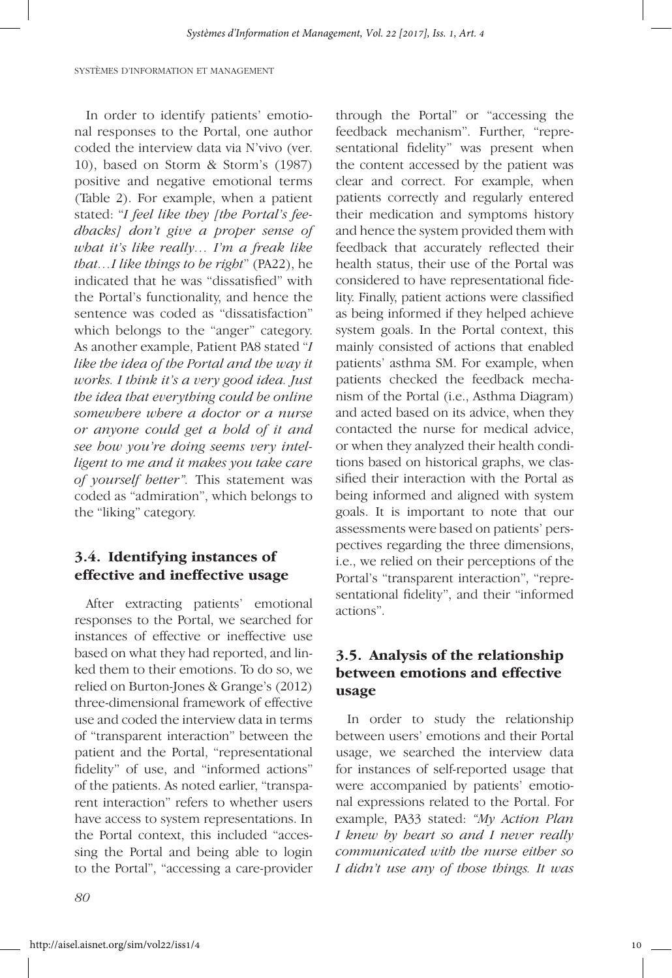In order to identify patients' emotional responses to the Portal, one author coded the interview data via N'vivo (ver. 10), based on Storm & Storm's (1987) positive and negative emotional terms (Table 2). For example, when a patient stated: "*I feel like they [the Portal's feedbacks] don't give a proper sense of what it's like really… I'm a freak like that…I like things to be right*" (PA22), he indicated that he was "dissatisfied" with the Portal's functionality, and hence the sentence was coded as "dissatisfaction" which belongs to the "anger" category. As another example, Patient PA8 stated "*I like the idea of the Portal and the way it works. I think it's a very good idea. Just the idea that everything could be online somewhere where a doctor or a nurse or anyone could get a hold of it and see how you're doing seems very intelligent to me and it makes you take care of yourself better".* This statement was coded as "admiration", which belongs to the "liking" category.

#### **3.4. Identifying instances of effective and ineffective usage**

After extracting patients' emotional responses to the Portal, we searched for instances of effective or ineffective use based on what they had reported, and linked them to their emotions. To do so, we relied on Burton-Jones & Grange's (2012) three-dimensional framework of effective use and coded the interview data in terms of "transparent interaction" between the patient and the Portal, "representational fidelity" of use, and "informed actions" of the patients. As noted earlier, "transparent interaction" refers to whether users have access to system representations. In the Portal context, this included "accessing the Portal and being able to login to the Portal", "accessing a care-provider

through the Portal" or "accessing the feedback mechanism". Further, "representational fidelity" was present when the content accessed by the patient was clear and correct. For example, when patients correctly and regularly entered their medication and symptoms history and hence the system provided them with feedback that accurately reflected their health status, their use of the Portal was considered to have representational fidelity. Finally, patient actions were classified as being informed if they helped achieve system goals. In the Portal context, this mainly consisted of actions that enabled patients' asthma SM. For example, when patients checked the feedback mechanism of the Portal (i.e., Asthma Diagram) and acted based on its advice, when they contacted the nurse for medical advice, or when they analyzed their health conditions based on historical graphs, we classified their interaction with the Portal as being informed and aligned with system goals. It is important to note that our assessments were based on patients' perspectives regarding the three dimensions, i.e., we relied on their perceptions of the Portal's "transparent interaction", "representational fidelity", and their "informed actions".

## **3.5. Analysis of the relationship between emotions and effective usage**

In order to study the relationship between users' emotions and their Portal usage, we searched the interview data for instances of self-reported usage that were accompanied by patients' emotional expressions related to the Portal. For example, PA33 stated: *"My Action Plan I knew by heart so and I never really communicated with the nurse either so I didn't use any of those things. It was*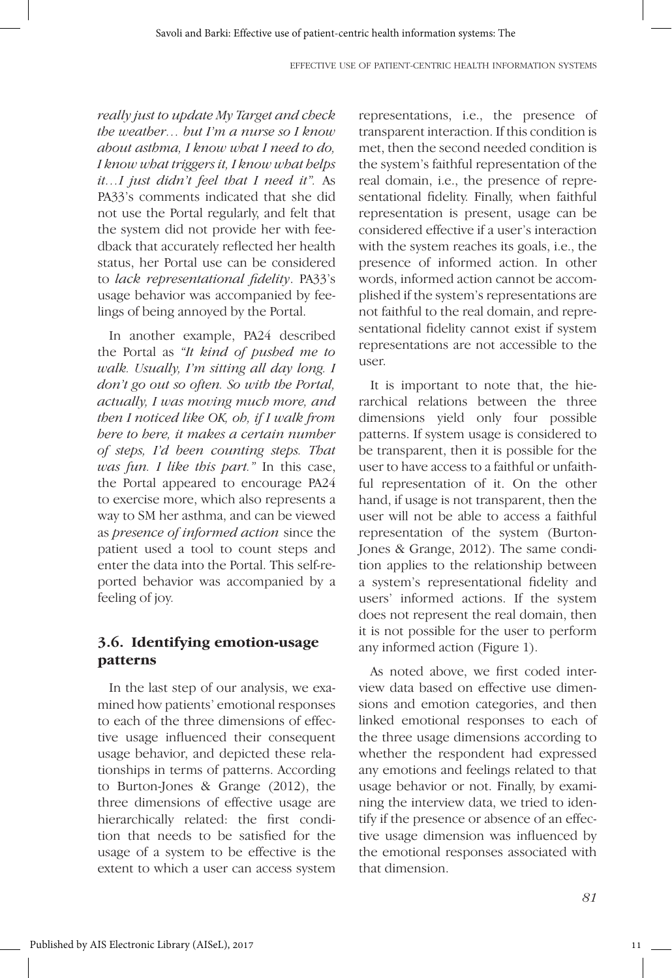*really just to update My Target and check the weather… but I'm a nurse so I know about asthma, I know what I need to do, I know what triggers it, I know what helps it…I just didn't feel that I need it".* As PA33's comments indicated that she did not use the Portal regularly, and felt that the system did not provide her with feedback that accurately reflected her health status, her Portal use can be considered to *lack representational fidelity*. PA33's usage behavior was accompanied by feelings of being annoyed by the Portal.

In another example, PA24 described the Portal as *"It kind of pushed me to walk. Usually, I'm sitting all day long. I don't go out so often. So with the Portal, actually, I was moving much more, and then I noticed like OK, oh, if I walk from here to here, it makes a certain number of steps, I'd been counting steps. That was fun. I like this part."* In this case, the Portal appeared to encourage PA24 to exercise more, which also represents a way to SM her asthma, and can be viewed as *presence of informed action* since the patient used a tool to count steps and enter the data into the Portal. This self-reported behavior was accompanied by a feeling of joy*.* 

## **3.6. Identifying emotion-usage patterns**

In the last step of our analysis, we examined how patients' emotional responses to each of the three dimensions of effective usage influenced their consequent usage behavior, and depicted these relationships in terms of patterns. According to Burton-Jones & Grange (2012), the three dimensions of effective usage are hierarchically related: the first condition that needs to be satisfied for the usage of a system to be effective is the extent to which a user can access system representations, i.e., the presence of transparent interaction. If this condition is met, then the second needed condition is the system's faithful representation of the real domain, i.e., the presence of representational fidelity. Finally, when faithful representation is present, usage can be considered effective if a user's interaction with the system reaches its goals, i.e., the presence of informed action. In other words, informed action cannot be accomplished if the system's representations are not faithful to the real domain, and representational fidelity cannot exist if system representations are not accessible to the user.

It is important to note that, the hierarchical relations between the three dimensions yield only four possible patterns. If system usage is considered to be transparent, then it is possible for the user to have access to a faithful or unfaithful representation of it. On the other hand, if usage is not transparent, then the user will not be able to access a faithful representation of the system (Burton-Jones & Grange, 2012). The same condition applies to the relationship between a system's representational fidelity and users' informed actions. If the system does not represent the real domain, then it is not possible for the user to perform any informed action (Figure 1).

As noted above, we first coded interview data based on effective use dimensions and emotion categories, and then linked emotional responses to each of the three usage dimensions according to whether the respondent had expressed any emotions and feelings related to that usage behavior or not. Finally, by examining the interview data, we tried to identify if the presence or absence of an effective usage dimension was influenced by the emotional responses associated with that dimension.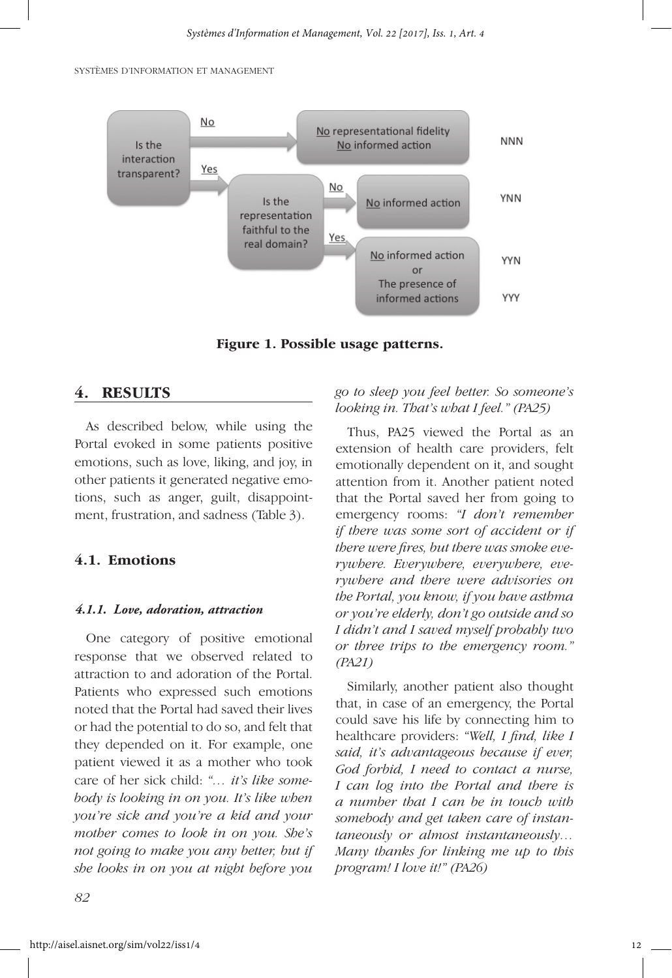

**Figure 1. Possible usage patterns.**

#### **4. RESULTS**

As described below, while using the Portal evoked in some patients positive emotions, such as love, liking, and joy, in other patients it generated negative emotions, such as anger, guilt, disappointment, frustration, and sadness (Table 3).

## **4.1. Emotions**

#### *4.1.1. Love, adoration, attraction*

One category of positive emotional response that we observed related to attraction to and adoration of the Portal. Patients who expressed such emotions noted that the Portal had saved their lives or had the potential to do so, and felt that they depended on it. For example, one patient viewed it as a mother who took care of her sick child: *"… it's like somebody is looking in on you. It's like when you're sick and you're a kid and your mother comes to look in on you. She's not going to make you any better, but if she looks in on you at night before you* 

#### *go to sleep you feel better. So someone's looking in. That's what I feel." (PA25)*

Thus, PA25 viewed the Portal as an extension of health care providers, felt emotionally dependent on it, and sought attention from it. Another patient noted that the Portal saved her from going to emergency rooms: *"I don't remember if there was some sort of accident or if there were fires, but there was smoke everywhere. Everywhere, everywhere, everywhere and there were advisories on the Portal, you know, if you have asthma or you're elderly, don't go outside and so I didn't and I saved myself probably two or three trips to the emergency room." (PA21)*

Similarly, another patient also thought that, in case of an emergency, the Portal could save his life by connecting him to healthcare providers: *"Well, I find, like I said, it's advantageous because if ever, God forbid, I need to contact a nurse, I can log into the Portal and there is a number that I can be in touch with somebody and get taken care of instantaneously or almost instantaneously… Many thanks for linking me up to this program! I love it!" (PA26)*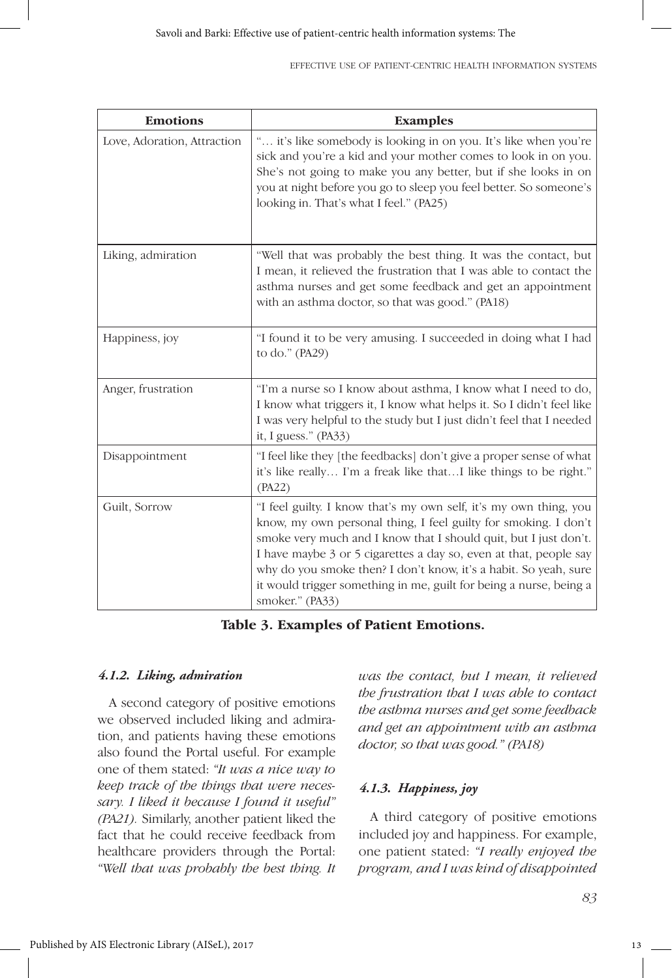| <b>Emotions</b>             | <b>Examples</b>                                                                                                                                                                                                                                                                                                                                                                                                                            |  |  |
|-----------------------------|--------------------------------------------------------------------------------------------------------------------------------------------------------------------------------------------------------------------------------------------------------------------------------------------------------------------------------------------------------------------------------------------------------------------------------------------|--|--|
| Love, Adoration, Attraction | " it's like somebody is looking in on you. It's like when you're<br>sick and you're a kid and your mother comes to look in on you.<br>She's not going to make you any better, but if she looks in on<br>you at night before you go to sleep you feel better. So someone's<br>looking in. That's what I feel." (PA25)                                                                                                                       |  |  |
| Liking, admiration          | "Well that was probably the best thing. It was the contact, but<br>I mean, it relieved the frustration that I was able to contact the<br>asthma nurses and get some feedback and get an appointment<br>with an asthma doctor, so that was good." (PA18)                                                                                                                                                                                    |  |  |
| Happiness, joy              | "I found it to be very amusing. I succeeded in doing what I had<br>to do." (PA29)                                                                                                                                                                                                                                                                                                                                                          |  |  |
| Anger, frustration          | "I'm a nurse so I know about asthma, I know what I need to do,<br>I know what triggers it, I know what helps it. So I didn't feel like<br>I was very helpful to the study but I just didn't feel that I needed<br>it, I guess." (PA33)                                                                                                                                                                                                     |  |  |
| Disappointment              | "I feel like they [the feedbacks] don't give a proper sense of what<br>it's like really I'm a freak like thatI like things to be right."<br>(PA22)                                                                                                                                                                                                                                                                                         |  |  |
| Guilt, Sorrow               | "I feel guilty. I know that's my own self, it's my own thing, you<br>know, my own personal thing, I feel guilty for smoking. I don't<br>smoke very much and I know that I should quit, but I just don't.<br>I have maybe 3 or 5 cigarettes a day so, even at that, people say<br>why do you smoke then? I don't know, it's a habit. So yeah, sure<br>it would trigger something in me, guilt for being a nurse, being a<br>smoker." (PA33) |  |  |

**Table 3. Examples of Patient Emotions.**

#### *4.1.2. Liking, admiration*

A second category of positive emotions we observed included liking and admiration, and patients having these emotions also found the Portal useful. For example one of them stated: *"It was a nice way to keep track of the things that were necessary. I liked it because I found it useful" (PA21).* Similarly, another patient liked the fact that he could receive feedback from healthcare providers through the Portal: *"Well that was probably the best thing. It*  *was the contact, but I mean, it relieved the frustration that I was able to contact the asthma nurses and get some feedback and get an appointment with an asthma doctor, so that was good." (PA18)*

#### *4.1.3. Happiness, joy*

A third category of positive emotions included joy and happiness. For example, one patient stated: *"I really enjoyed the program, and I was kind of disappointed*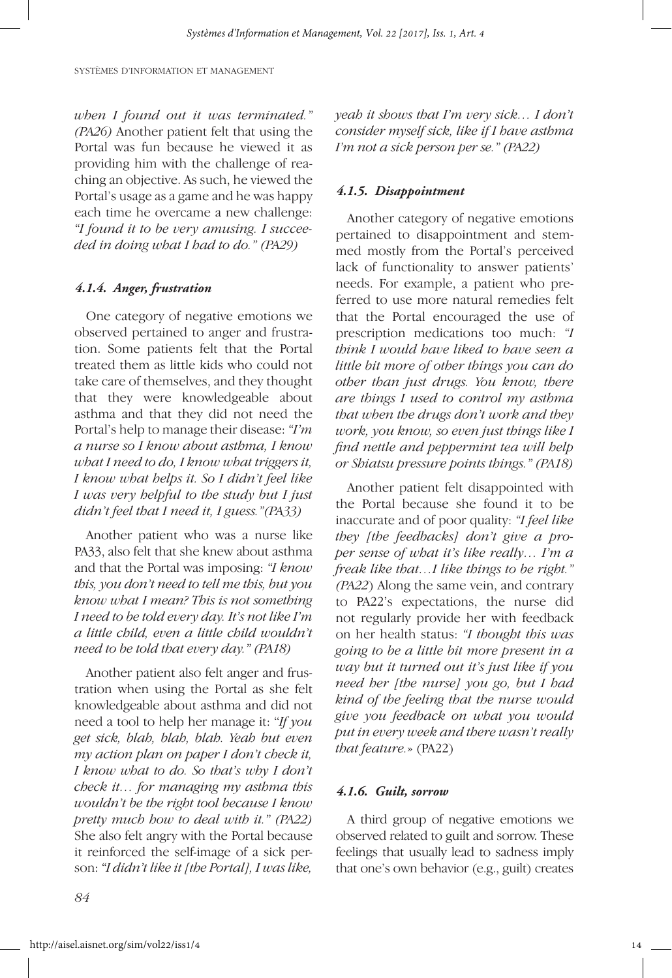*when I found out it was terminated." (PA26)* Another patient felt that using the Portal was fun because he viewed it as providing him with the challenge of reaching an objective. As such, he viewed the Portal's usage as a game and he was happy each time he overcame a new challenge: *"I found it to be very amusing. I succeeded in doing what I had to do." (PA29)* 

#### *4.1.4. Anger, frustration*

One category of negative emotions we observed pertained to anger and frustration. Some patients felt that the Portal treated them as little kids who could not take care of themselves, and they thought that they were knowledgeable about asthma and that they did not need the Portal's help to manage their disease: *"I'm a nurse so I know about asthma, I know what I need to do, I know what triggers it, I know what helps it. So I didn't feel like I was very helpful to the study but I just didn't feel that I need it, I guess."(PA33)* 

Another patient who was a nurse like PA33, also felt that she knew about asthma and that the Portal was imposing: *"I know this, you don't need to tell me this, but you know what I mean? This is not something I need to be told every day. It's not like I'm a little child, even a little child wouldn't need to be told that every day." (PA18)*

Another patient also felt anger and frustration when using the Portal as she felt knowledgeable about asthma and did not need a tool to help her manage it: "*If you get sick, blah, blah, blah. Yeah but even my action plan on paper I don't check it, I know what to do. So that's why I don't check it… for managing my asthma this wouldn't be the right tool because I know pretty much how to deal with it." (PA22)*  She also felt angry with the Portal because it reinforced the self-image of a sick person: *"I didn't like it [the Portal], I was like,*  *yeah it shows that I'm very sick… I don't consider myself sick, like if I have asthma I'm not a sick person per se." (PA22)* 

#### *4.1.5. Disappointment*

Another category of negative emotions pertained to disappointment and stemmed mostly from the Portal's perceived lack of functionality to answer patients' needs. For example, a patient who preferred to use more natural remedies felt that the Portal encouraged the use of prescription medications too much: *"I think I would have liked to have seen a little bit more of other things you can do other than just drugs. You know, there are things I used to control my asthma that when the drugs don't work and they work, you know, so even just things like I find nettle and peppermint tea will help or Shiatsu pressure points things." (PA18)* 

Another patient felt disappointed with the Portal because she found it to be inaccurate and of poor quality: *"I feel like they [the feedbacks] don't give a proper sense of what it's like really… I'm a freak like that…I like things to be right." (PA22*) Along the same vein, and contrary to PA22's expectations, the nurse did not regularly provide her with feedback on her health status: *"I thought this was going to be a little bit more present in a way but it turned out it's just like if you need her [the nurse] you go, but I had kind of the feeling that the nurse would give you feedback on what you would put in every week and there wasn't really that feature.*» (PA22)

#### *4.1.6. Guilt, sorrow*

A third group of negative emotions we observed related to guilt and sorrow. These feelings that usually lead to sadness imply that one's own behavior (e.g., guilt) creates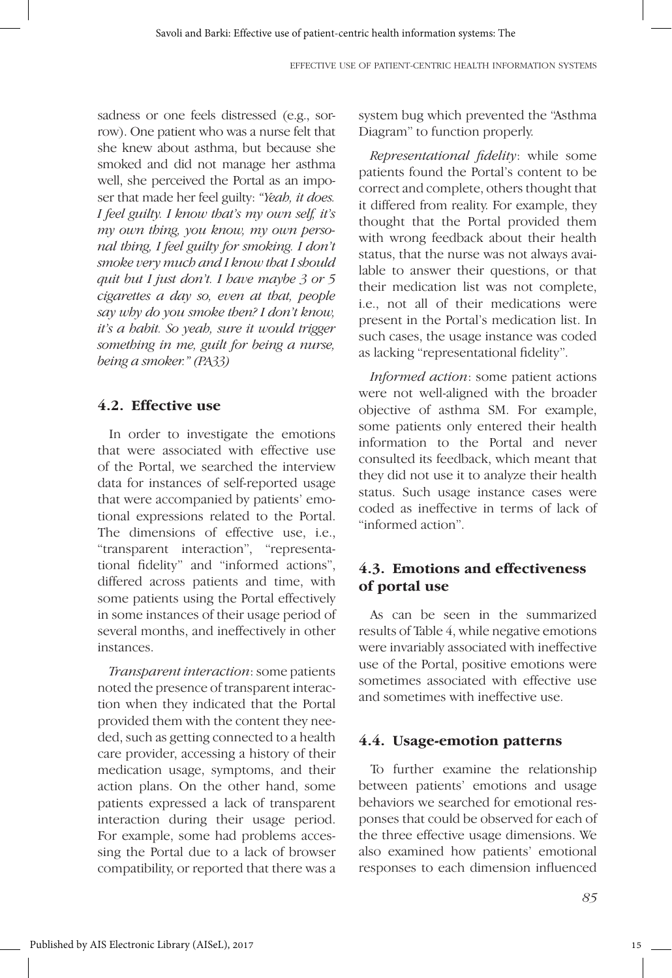sadness or one feels distressed (e.g., sorrow). One patient who was a nurse felt that she knew about asthma, but because she smoked and did not manage her asthma well, she perceived the Portal as an imposer that made her feel guilty: *"Yeah, it does. I feel guilty. I know that's my own self, it's my own thing, you know, my own personal thing, I feel guilty for smoking. I don't smoke very much and I know that I should quit but I just don't. I have maybe 3 or 5 cigarettes a day so, even at that, people say why do you smoke then? I don't know, it's a habit. So yeah, sure it would trigger something in me, guilt for being a nurse, being a smoker." (PA33)* 

#### **4.2. Effective use**

In order to investigate the emotions that were associated with effective use of the Portal, we searched the interview data for instances of self-reported usage that were accompanied by patients' emotional expressions related to the Portal. The dimensions of effective use, i.e., "transparent interaction", "representational fidelity" and "informed actions", differed across patients and time, with some patients using the Portal effectively in some instances of their usage period of several months, and ineffectively in other instances.

*Transparent interaction*: some patients noted the presence of transparent interaction when they indicated that the Portal provided them with the content they needed, such as getting connected to a health care provider, accessing a history of their medication usage, symptoms, and their action plans. On the other hand, some patients expressed a lack of transparent interaction during their usage period. For example, some had problems accessing the Portal due to a lack of browser compatibility, or reported that there was a system bug which prevented the "Asthma Diagram" to function properly.

*Representational fidelity*: while some patients found the Portal's content to be correct and complete, others thought that it differed from reality. For example, they thought that the Portal provided them with wrong feedback about their health status, that the nurse was not always available to answer their questions, or that their medication list was not complete, i.e., not all of their medications were present in the Portal's medication list. In such cases, the usage instance was coded as lacking "representational fidelity".

*Informed action*: some patient actions were not well-aligned with the broader objective of asthma SM. For example, some patients only entered their health information to the Portal and never consulted its feedback, which meant that they did not use it to analyze their health status. Such usage instance cases were coded as ineffective in terms of lack of "informed action".

## **4.3. Emotions and effectiveness of portal use**

As can be seen in the summarized results of Table 4, while negative emotions were invariably associated with ineffective use of the Portal, positive emotions were sometimes associated with effective use and sometimes with ineffective use.

#### **4.4. Usage-emotion patterns**

To further examine the relationship between patients' emotions and usage behaviors we searched for emotional responses that could be observed for each of the three effective usage dimensions. We also examined how patients' emotional responses to each dimension influenced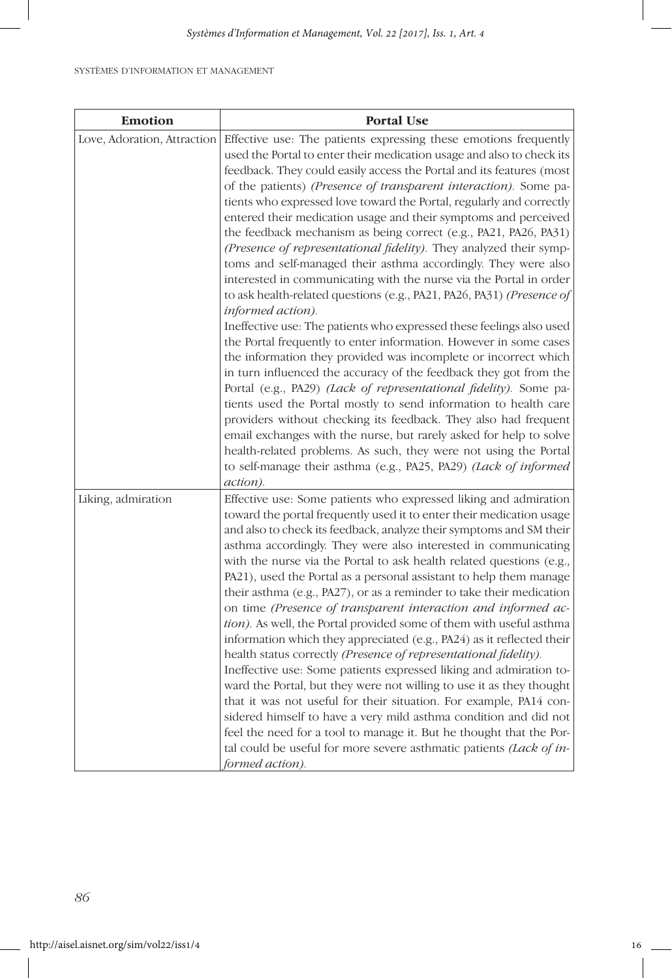| <b>Emotion</b>              | <b>Portal Use</b>                                                                                                                                                                                                                                                                                                                                                                                                                                                                                                                                                                                                                                                                                                                                                                                                                                                                                                                                                                                                                                                                                                                                                                                                                                            |
|-----------------------------|--------------------------------------------------------------------------------------------------------------------------------------------------------------------------------------------------------------------------------------------------------------------------------------------------------------------------------------------------------------------------------------------------------------------------------------------------------------------------------------------------------------------------------------------------------------------------------------------------------------------------------------------------------------------------------------------------------------------------------------------------------------------------------------------------------------------------------------------------------------------------------------------------------------------------------------------------------------------------------------------------------------------------------------------------------------------------------------------------------------------------------------------------------------------------------------------------------------------------------------------------------------|
| Love, Adoration, Attraction | Effective use: The patients expressing these emotions frequently<br>used the Portal to enter their medication usage and also to check its<br>feedback. They could easily access the Portal and its features (most<br>of the patients) (Presence of transparent interaction). Some pa-<br>tients who expressed love toward the Portal, regularly and correctly<br>entered their medication usage and their symptoms and perceived<br>the feedback mechanism as being correct (e.g., PA21, PA26, PA31)<br>(Presence of representational fidelity). They analyzed their symp-<br>toms and self-managed their asthma accordingly. They were also<br>interested in communicating with the nurse via the Portal in order<br>to ask health-related questions (e.g., PA21, PA26, PA31) (Presence of<br>informed action).                                                                                                                                                                                                                                                                                                                                                                                                                                             |
|                             | Ineffective use: The patients who expressed these feelings also used<br>the Portal frequently to enter information. However in some cases<br>the information they provided was incomplete or incorrect which<br>in turn influenced the accuracy of the feedback they got from the<br>Portal (e.g., PA29) (Lack of representational fidelity). Some pa-<br>tients used the Portal mostly to send information to health care<br>providers without checking its feedback. They also had frequent<br>email exchanges with the nurse, but rarely asked for help to solve<br>health-related problems. As such, they were not using the Portal<br>to self-manage their asthma (e.g., PA25, PA29) (Lack of informed<br>action).                                                                                                                                                                                                                                                                                                                                                                                                                                                                                                                                      |
| Liking, admiration          | Effective use: Some patients who expressed liking and admiration<br>toward the portal frequently used it to enter their medication usage<br>and also to check its feedback, analyze their symptoms and SM their<br>asthma accordingly. They were also interested in communicating<br>with the nurse via the Portal to ask health related questions (e.g.,<br>PA21), used the Portal as a personal assistant to help them manage<br>their asthma (e.g., PA27), or as a reminder to take their medication<br>on time (Presence of transparent interaction and informed ac-<br>tion). As well, the Portal provided some of them with useful asthma<br>information which they appreciated (e.g., PA24) as it reflected their<br>health status correctly (Presence of representational fidelity).<br>Ineffective use: Some patients expressed liking and admiration to-<br>ward the Portal, but they were not willing to use it as they thought<br>that it was not useful for their situation. For example, PA14 con-<br>sidered himself to have a very mild asthma condition and did not<br>feel the need for a tool to manage it. But he thought that the Por-<br>tal could be useful for more severe asthmatic patients <i>(Lack of in-</i><br>formed action). |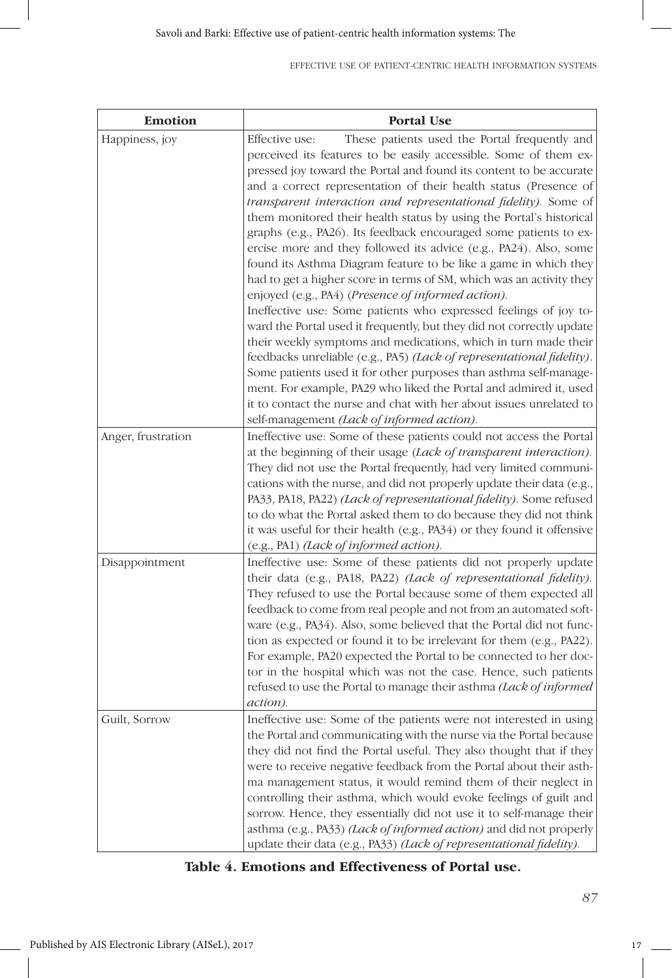#### EFFECTIVE USE OF PATIENT-CENTRIC HEALTH INFORMATION SYSTEMS

| <b>Emotion</b>     | <b>Portal Use</b>                                                                                                                                                                                                                                                                                                                                                                                                                                                                                                                                                                                                                                                                                                                                                                                                                                                                                                                                                                                                                                                                                                                                                                                                                                                                                                           |  |  |
|--------------------|-----------------------------------------------------------------------------------------------------------------------------------------------------------------------------------------------------------------------------------------------------------------------------------------------------------------------------------------------------------------------------------------------------------------------------------------------------------------------------------------------------------------------------------------------------------------------------------------------------------------------------------------------------------------------------------------------------------------------------------------------------------------------------------------------------------------------------------------------------------------------------------------------------------------------------------------------------------------------------------------------------------------------------------------------------------------------------------------------------------------------------------------------------------------------------------------------------------------------------------------------------------------------------------------------------------------------------|--|--|
| Happiness, joy     | Effective use:<br>These patients used the Portal frequently and<br>perceived its features to be easily accessible. Some of them ex-<br>pressed joy toward the Portal and found its content to be accurate<br>and a correct representation of their health status (Presence of<br>transparent interaction and representational fidelity). Some of<br>them monitored their health status by using the Portal's historical<br>graphs (e.g., PA26). Its feedback encouraged some patients to ex-<br>ercise more and they followed its advice (e.g., PA24). Also, some<br>found its Asthma Diagram feature to be like a game in which they<br>had to get a higher score in terms of SM, which was an activity they<br>enjoyed (e.g., PA4) (Presence of informed action).<br>Ineffective use: Some patients who expressed feelings of joy to-<br>ward the Portal used it frequently, but they did not correctly update<br>their weekly symptoms and medications, which in turn made their<br>feedbacks unreliable (e.g., PA5) (Lack of representational fidelity).<br>Some patients used it for other purposes than asthma self-manage-<br>ment. For example, PA29 who liked the Portal and admired it, used<br>it to contact the nurse and chat with her about issues unrelated to<br>self-management (Lack of informed action). |  |  |
| Anger, frustration | Ineffective use: Some of these patients could not access the Portal<br>at the beginning of their usage (Lack of transparent interaction).<br>They did not use the Portal frequently, had very limited communi-<br>cations with the nurse, and did not properly update their data (e.g.,<br>PA33, PA18, PA22) (Lack of representational fidelity). Some refused<br>to do what the Portal asked them to do because they did not think<br>it was useful for their health (e.g., PA34) or they found it offensive<br>(e.g., PA1) (Lack of informed action).                                                                                                                                                                                                                                                                                                                                                                                                                                                                                                                                                                                                                                                                                                                                                                     |  |  |
| Disappointment     | Ineffective use: Some of these patients did not properly update<br>their data (e.g., PA18, PA22) (Lack of representational fidelity).<br>They refused to use the Portal because some of them expected all<br>feedback to come from real people and not from an automated soft-<br>ware (e.g., PA34). Also, some believed that the Portal did not func-<br>tion as expected or found it to be irrelevant for them (e.g., PA22).<br>For example, PA20 expected the Portal to be connected to her doc-<br>tor in the hospital which was not the case. Hence, such patients<br>refused to use the Portal to manage their asthma (Lack of informed<br>action).                                                                                                                                                                                                                                                                                                                                                                                                                                                                                                                                                                                                                                                                   |  |  |
| Guilt, Sorrow      | Ineffective use: Some of the patients were not interested in using<br>the Portal and communicating with the nurse via the Portal because<br>they did not find the Portal useful. They also thought that if they<br>were to receive negative feedback from the Portal about their asth-<br>ma management status, it would remind them of their neglect in<br>controlling their asthma, which would evoke feelings of guilt and<br>sorrow. Hence, they essentially did not use it to self-manage their<br>asthma (e.g., PA33) (Lack of informed action) and did not properly<br>update their data (e.g., PA33) (Lack of representational fidelity).                                                                                                                                                                                                                                                                                                                                                                                                                                                                                                                                                                                                                                                                           |  |  |

| Table 4. Emotions and Effectiveness of Portal use. |  |  |  |  |  |
|----------------------------------------------------|--|--|--|--|--|
|----------------------------------------------------|--|--|--|--|--|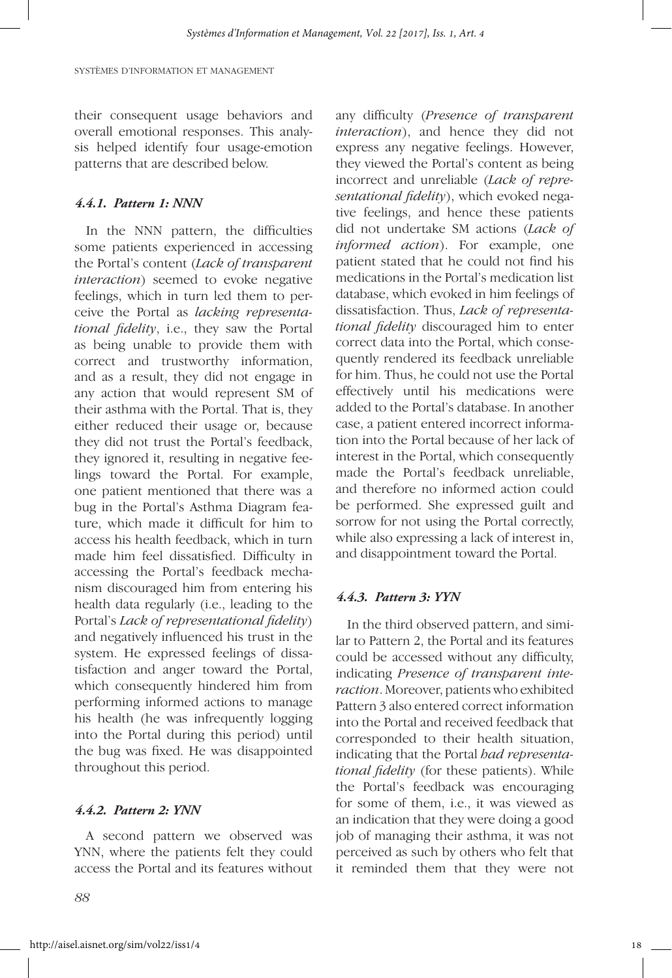their consequent usage behaviors and overall emotional responses. This analysis helped identify four usage-emotion patterns that are described below.

#### *4.4.1. Pattern 1: NNN*

In the NNN pattern, the difficulties some patients experienced in accessing the Portal's content (*Lack of transparent interaction*) seemed to evoke negative feelings, which in turn led them to perceive the Portal as *lacking representational fidelity*, i.e., they saw the Portal as being unable to provide them with correct and trustworthy information, and as a result, they did not engage in any action that would represent SM of their asthma with the Portal. That is, they either reduced their usage or, because they did not trust the Portal's feedback, they ignored it, resulting in negative feelings toward the Portal. For example, one patient mentioned that there was a bug in the Portal's Asthma Diagram feature, which made it difficult for him to access his health feedback, which in turn made him feel dissatisfied. Difficulty in accessing the Portal's feedback mechanism discouraged him from entering his health data regularly (i.e., leading to the Portal's *Lack of representational fidelity*) and negatively influenced his trust in the system. He expressed feelings of dissatisfaction and anger toward the Portal, which consequently hindered him from performing informed actions to manage his health (he was infrequently logging into the Portal during this period) until the bug was fixed. He was disappointed throughout this period.

#### *4.4.2. Pattern 2: YNN*

A second pattern we observed was YNN, where the patients felt they could access the Portal and its features without any difficulty (*Presence of transparent interaction*), and hence they did not express any negative feelings. However, they viewed the Portal's content as being incorrect and unreliable (*Lack of representational fidelity*), which evoked negative feelings, and hence these patients did not undertake SM actions (*Lack of informed action*). For example, one patient stated that he could not find his medications in the Portal's medication list database, which evoked in him feelings of dissatisfaction. Thus, *Lack of representational fidelity* discouraged him to enter correct data into the Portal, which consequently rendered its feedback unreliable for him. Thus, he could not use the Portal effectively until his medications were added to the Portal's database. In another case, a patient entered incorrect information into the Portal because of her lack of interest in the Portal, which consequently made the Portal's feedback unreliable, and therefore no informed action could be performed. She expressed guilt and sorrow for not using the Portal correctly, while also expressing a lack of interest in, and disappointment toward the Portal.

#### *4.4.3. Pattern 3: YYN*

In the third observed pattern, and similar to Pattern 2, the Portal and its features could be accessed without any difficulty, indicating *Presence of transparent interaction*. Moreover, patients who exhibited Pattern 3 also entered correct information into the Portal and received feedback that corresponded to their health situation, indicating that the Portal *had representational fidelity* (for these patients). While the Portal's feedback was encouraging for some of them, i.e., it was viewed as an indication that they were doing a good job of managing their asthma, it was not perceived as such by others who felt that it reminded them that they were not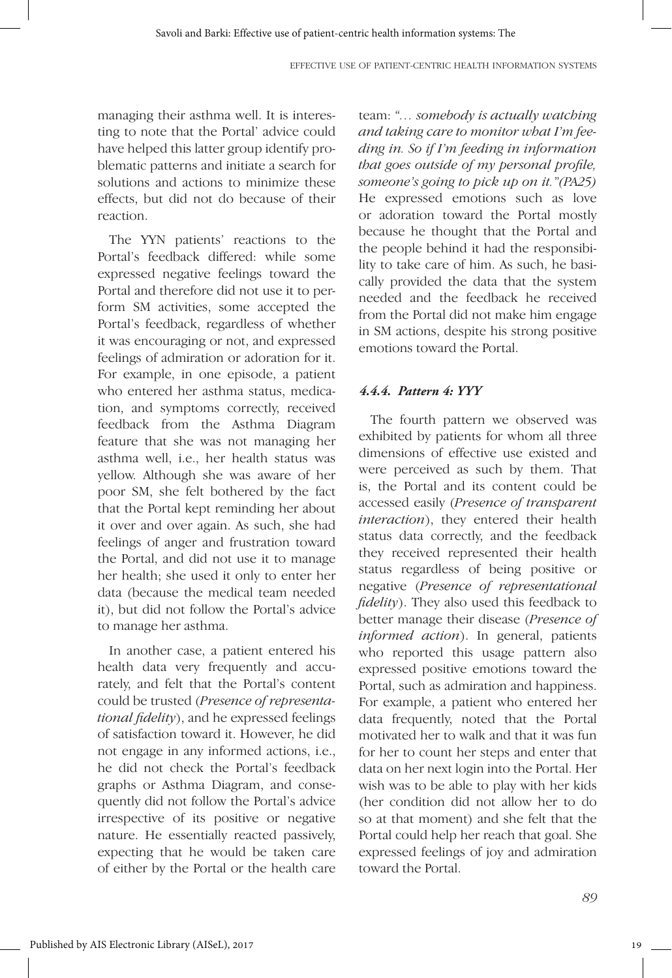managing their asthma well. It is interesting to note that the Portal' advice could have helped this latter group identify problematic patterns and initiate a search for solutions and actions to minimize these effects, but did not do because of their reaction.

The YYN patients' reactions to the Portal's feedback differed: while some expressed negative feelings toward the Portal and therefore did not use it to perform SM activities, some accepted the Portal's feedback, regardless of whether it was encouraging or not, and expressed feelings of admiration or adoration for it. For example, in one episode, a patient who entered her asthma status, medication, and symptoms correctly, received feedback from the Asthma Diagram feature that she was not managing her asthma well, i.e., her health status was yellow. Although she was aware of her poor SM, she felt bothered by the fact that the Portal kept reminding her about it over and over again. As such, she had feelings of anger and frustration toward the Portal, and did not use it to manage her health; she used it only to enter her data (because the medical team needed it), but did not follow the Portal's advice to manage her asthma.

In another case, a patient entered his health data very frequently and accurately, and felt that the Portal's content could be trusted (*Presence of representational fidelity*), and he expressed feelings of satisfaction toward it. However, he did not engage in any informed actions, i.e., he did not check the Portal's feedback graphs or Asthma Diagram, and consequently did not follow the Portal's advice irrespective of its positive or negative nature. He essentially reacted passively, expecting that he would be taken care of either by the Portal or the health care team: *"… somebody is actually watching and taking care to monitor what I'm feeding in. So if I'm feeding in information that goes outside of my personal profile, someone's going to pick up on it."(PA25)* He expressed emotions such as love or adoration toward the Portal mostly because he thought that the Portal and the people behind it had the responsibility to take care of him. As such, he basically provided the data that the system needed and the feedback he received from the Portal did not make him engage in SM actions, despite his strong positive emotions toward the Portal.

#### *4.4.4. Pattern 4: YYY*

The fourth pattern we observed was exhibited by patients for whom all three dimensions of effective use existed and were perceived as such by them. That is, the Portal and its content could be accessed easily (*Presence of transparent interaction*), they entered their health status data correctly, and the feedback they received represented their health status regardless of being positive or negative (*Presence of representational fidelity*). They also used this feedback to better manage their disease (*Presence of informed action*). In general, patients who reported this usage pattern also expressed positive emotions toward the Portal, such as admiration and happiness. For example, a patient who entered her data frequently, noted that the Portal motivated her to walk and that it was fun for her to count her steps and enter that data on her next login into the Portal. Her wish was to be able to play with her kids (her condition did not allow her to do so at that moment) and she felt that the Portal could help her reach that goal. She expressed feelings of joy and admiration toward the Portal.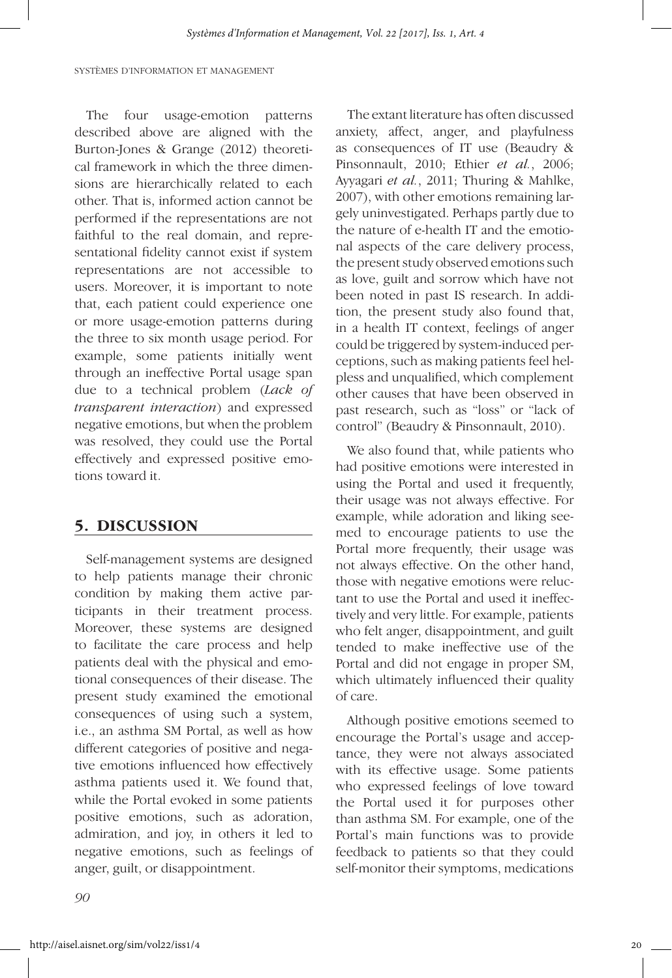The four usage-emotion patterns described above are aligned with the Burton-Jones & Grange (2012) theoretical framework in which the three dimensions are hierarchically related to each other. That is, informed action cannot be performed if the representations are not faithful to the real domain, and representational fidelity cannot exist if system representations are not accessible to users. Moreover, it is important to note that, each patient could experience one or more usage-emotion patterns during the three to six month usage period. For example, some patients initially went through an ineffective Portal usage span due to a technical problem (*Lack of transparent interaction*) and expressed negative emotions, but when the problem was resolved, they could use the Portal effectively and expressed positive emotions toward it.

#### **5. DISCUSSION**

Self-management systems are designed to help patients manage their chronic condition by making them active participants in their treatment process. Moreover, these systems are designed to facilitate the care process and help patients deal with the physical and emotional consequences of their disease. The present study examined the emotional consequences of using such a system, i.e., an asthma SM Portal, as well as how different categories of positive and negative emotions influenced how effectively asthma patients used it. We found that, while the Portal evoked in some patients positive emotions, such as adoration, admiration, and joy, in others it led to negative emotions, such as feelings of anger, guilt, or disappointment.

The extant literature has often discussed anxiety, affect, anger, and playfulness as consequences of IT use (Beaudry & Pinsonnault, 2010; Ethier *et al.*, 2006; Ayyagari *et al.*, 2011; Thuring & Mahlke, 2007), with other emotions remaining largely uninvestigated. Perhaps partly due to the nature of e-health IT and the emotional aspects of the care delivery process, the present study observed emotions such as love, guilt and sorrow which have not been noted in past IS research. In addition, the present study also found that, in a health IT context, feelings of anger could be triggered by system-induced perceptions, such as making patients feel helpless and unqualified, which complement other causes that have been observed in past research, such as "loss" or "lack of control" (Beaudry & Pinsonnault, 2010).

We also found that, while patients who had positive emotions were interested in using the Portal and used it frequently, their usage was not always effective. For example, while adoration and liking seemed to encourage patients to use the Portal more frequently, their usage was not always effective. On the other hand, those with negative emotions were reluctant to use the Portal and used it ineffectively and very little. For example, patients who felt anger, disappointment, and guilt tended to make ineffective use of the Portal and did not engage in proper SM, which ultimately influenced their quality of care.

Although positive emotions seemed to encourage the Portal's usage and acceptance, they were not always associated with its effective usage. Some patients who expressed feelings of love toward the Portal used it for purposes other than asthma SM. For example, one of the Portal's main functions was to provide feedback to patients so that they could self-monitor their symptoms, medications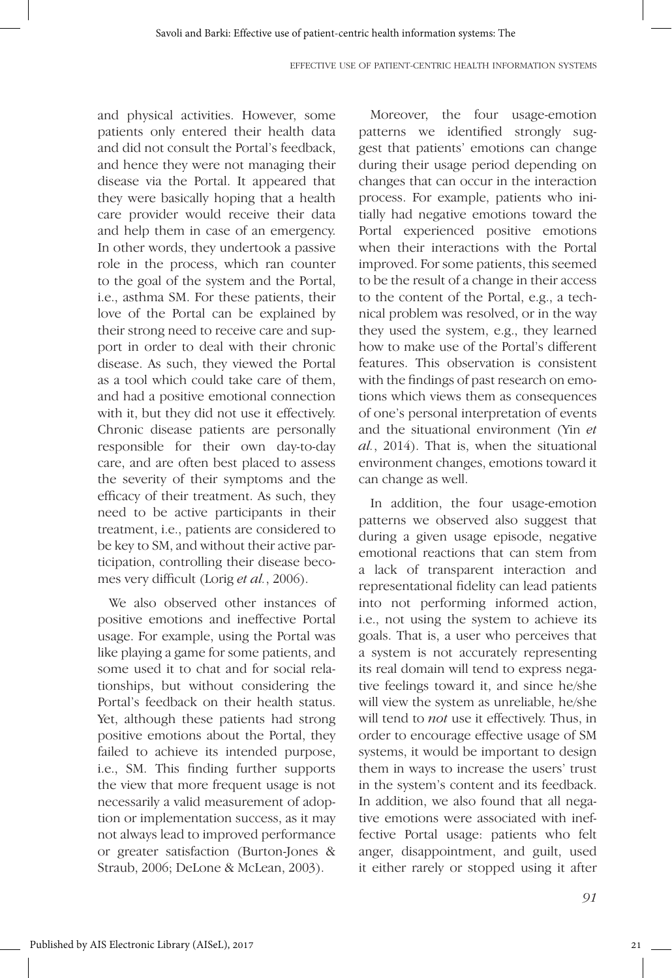and physical activities. However, some patients only entered their health data and did not consult the Portal's feedback, and hence they were not managing their disease via the Portal. It appeared that they were basically hoping that a health care provider would receive their data and help them in case of an emergency. In other words, they undertook a passive role in the process, which ran counter to the goal of the system and the Portal, i.e., asthma SM. For these patients, their love of the Portal can be explained by their strong need to receive care and support in order to deal with their chronic disease. As such, they viewed the Portal as a tool which could take care of them, and had a positive emotional connection with it, but they did not use it effectively. Chronic disease patients are personally responsible for their own day-to-day care, and are often best placed to assess the severity of their symptoms and the efficacy of their treatment. As such, they need to be active participants in their treatment, i.e., patients are considered to be key to SM, and without their active participation, controlling their disease becomes very difficult (Lorig *et al.*, 2006).

We also observed other instances of positive emotions and ineffective Portal usage. For example, using the Portal was like playing a game for some patients, and some used it to chat and for social relationships, but without considering the Portal's feedback on their health status. Yet, although these patients had strong positive emotions about the Portal, they failed to achieve its intended purpose, i.e., SM. This finding further supports the view that more frequent usage is not necessarily a valid measurement of adoption or implementation success, as it may not always lead to improved performance or greater satisfaction (Burton-Jones & Straub, 2006; DeLone & McLean, 2003).

Moreover, the four usage-emotion patterns we identified strongly suggest that patients' emotions can change during their usage period depending on changes that can occur in the interaction process. For example, patients who initially had negative emotions toward the Portal experienced positive emotions when their interactions with the Portal improved. For some patients, this seemed to be the result of a change in their access to the content of the Portal, e.g., a technical problem was resolved, or in the way they used the system, e.g., they learned how to make use of the Portal's different features. This observation is consistent with the findings of past research on emotions which views them as consequences of one's personal interpretation of events and the situational environment (Yin *et al.*, 2014). That is, when the situational environment changes, emotions toward it can change as well.

In addition, the four usage-emotion patterns we observed also suggest that during a given usage episode, negative emotional reactions that can stem from a lack of transparent interaction and representational fidelity can lead patients into not performing informed action, i.e., not using the system to achieve its goals. That is, a user who perceives that a system is not accurately representing its real domain will tend to express negative feelings toward it, and since he/she will view the system as unreliable, he/she will tend to *not* use it effectively. Thus, in order to encourage effective usage of SM systems, it would be important to design them in ways to increase the users' trust in the system's content and its feedback. In addition, we also found that all negative emotions were associated with ineffective Portal usage: patients who felt anger, disappointment, and guilt, used it either rarely or stopped using it after

21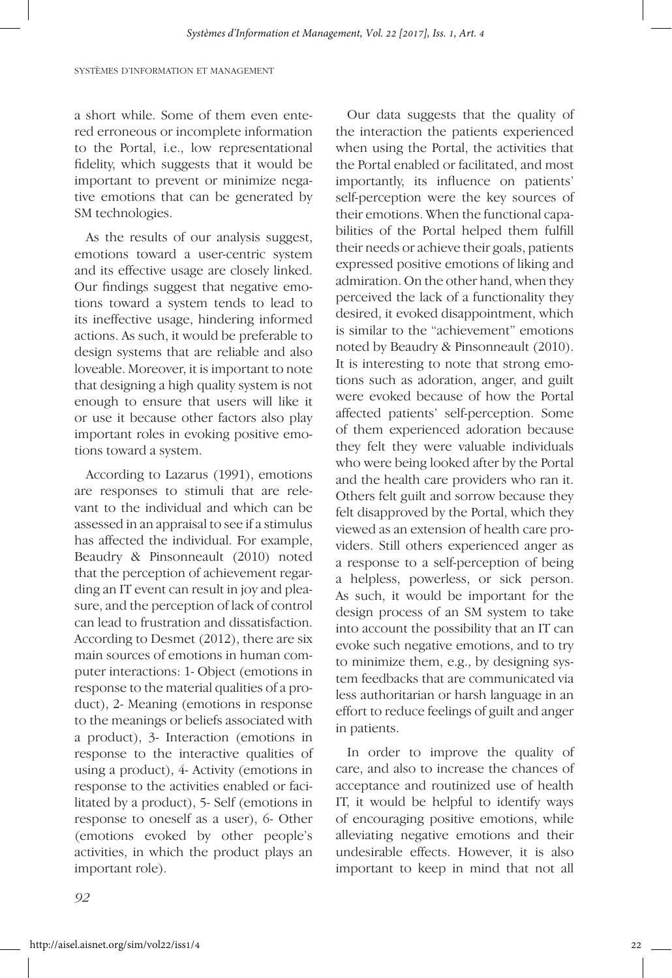a short while. Some of them even entered erroneous or incomplete information to the Portal, i.e., low representational fidelity, which suggests that it would be important to prevent or minimize negative emotions that can be generated by SM technologies.

As the results of our analysis suggest, emotions toward a user-centric system and its effective usage are closely linked. Our findings suggest that negative emotions toward a system tends to lead to its ineffective usage, hindering informed actions. As such, it would be preferable to design systems that are reliable and also loveable. Moreover, it is important to note that designing a high quality system is not enough to ensure that users will like it or use it because other factors also play important roles in evoking positive emotions toward a system.

According to Lazarus (1991), emotions are responses to stimuli that are relevant to the individual and which can be assessed in an appraisal to see if a stimulus has affected the individual. For example, Beaudry & Pinsonneault (2010) noted that the perception of achievement regarding an IT event can result in joy and pleasure, and the perception of lack of control can lead to frustration and dissatisfaction. According to Desmet (2012), there are six main sources of emotions in human computer interactions: 1- Object (emotions in response to the material qualities of a product), 2- Meaning (emotions in response to the meanings or beliefs associated with a product), 3- Interaction (emotions in response to the interactive qualities of using a product), 4- Activity (emotions in response to the activities enabled or facilitated by a product), 5- Self (emotions in response to oneself as a user), 6- Other (emotions evoked by other people's activities, in which the product plays an important role).

Our data suggests that the quality of the interaction the patients experienced when using the Portal, the activities that the Portal enabled or facilitated, and most importantly, its influence on patients' self-perception were the key sources of their emotions. When the functional capabilities of the Portal helped them fulfill their needs or achieve their goals, patients expressed positive emotions of liking and admiration. On the other hand, when they perceived the lack of a functionality they desired, it evoked disappointment, which is similar to the "achievement" emotions noted by Beaudry & Pinsonneault (2010). It is interesting to note that strong emotions such as adoration, anger, and guilt were evoked because of how the Portal affected patients' self-perception. Some of them experienced adoration because they felt they were valuable individuals who were being looked after by the Portal and the health care providers who ran it. Others felt guilt and sorrow because they felt disapproved by the Portal, which they viewed as an extension of health care providers. Still others experienced anger as a response to a self-perception of being a helpless, powerless, or sick person. As such, it would be important for the design process of an SM system to take into account the possibility that an IT can evoke such negative emotions, and to try to minimize them, e.g., by designing system feedbacks that are communicated via less authoritarian or harsh language in an effort to reduce feelings of guilt and anger in patients.

In order to improve the quality of care, and also to increase the chances of acceptance and routinized use of health IT, it would be helpful to identify ways of encouraging positive emotions, while alleviating negative emotions and their undesirable effects. However, it is also important to keep in mind that not all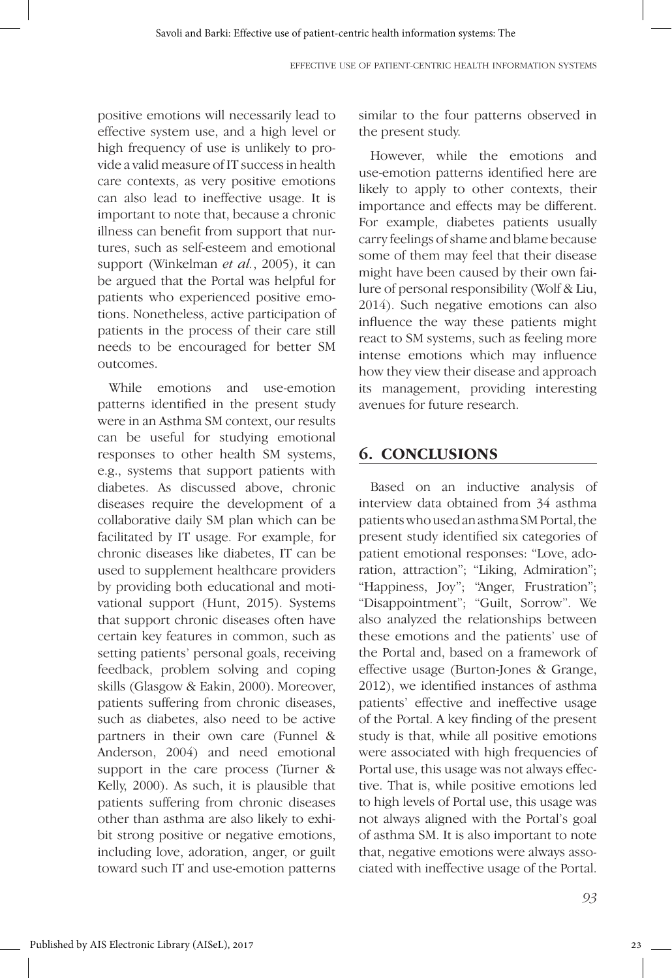positive emotions will necessarily lead to effective system use, and a high level or high frequency of use is unlikely to provide a valid measure of IT success in health care contexts, as very positive emotions can also lead to ineffective usage. It is important to note that, because a chronic illness can benefit from support that nurtures, such as self-esteem and emotional support (Winkelman *et al.*, 2005), it can be argued that the Portal was helpful for patients who experienced positive emotions. Nonetheless, active participation of patients in the process of their care still needs to be encouraged for better SM outcomes.

While emotions and use-emotion patterns identified in the present study were in an Asthma SM context, our results can be useful for studying emotional responses to other health SM systems, e.g., systems that support patients with diabetes. As discussed above, chronic diseases require the development of a collaborative daily SM plan which can be facilitated by IT usage. For example, for chronic diseases like diabetes, IT can be used to supplement healthcare providers by providing both educational and motivational support (Hunt, 2015). Systems that support chronic diseases often have certain key features in common, such as setting patients' personal goals, receiving feedback, problem solving and coping skills (Glasgow & Eakin, 2000). Moreover, patients suffering from chronic diseases, such as diabetes, also need to be active partners in their own care (Funnel & Anderson, 2004) and need emotional support in the care process (Turner & Kelly, 2000). As such, it is plausible that patients suffering from chronic diseases other than asthma are also likely to exhibit strong positive or negative emotions, including love, adoration, anger, or guilt toward such IT and use-emotion patterns similar to the four patterns observed in the present study.

However, while the emotions and use-emotion patterns identified here are likely to apply to other contexts, their importance and effects may be different. For example, diabetes patients usually carry feelings of shame and blame because some of them may feel that their disease might have been caused by their own failure of personal responsibility (Wolf & Liu, 2014). Such negative emotions can also influence the way these patients might react to SM systems, such as feeling more intense emotions which may influence how they view their disease and approach its management, providing interesting avenues for future research.

## **6. CONCLUSIONS**

Based on an inductive analysis of interview data obtained from 34 asthma patients who used an asthma SM Portal, the present study identified six categories of patient emotional responses: "Love, adoration, attraction"; "Liking, Admiration"; "Happiness, Joy"; "Anger, Frustration"; "Disappointment"; "Guilt, Sorrow". We also analyzed the relationships between these emotions and the patients' use of the Portal and, based on a framework of effective usage (Burton-Jones & Grange, 2012), we identified instances of asthma patients' effective and ineffective usage of the Portal. A key finding of the present study is that, while all positive emotions were associated with high frequencies of Portal use, this usage was not always effective. That is, while positive emotions led to high levels of Portal use, this usage was not always aligned with the Portal's goal of asthma SM. It is also important to note that, negative emotions were always associated with ineffective usage of the Portal.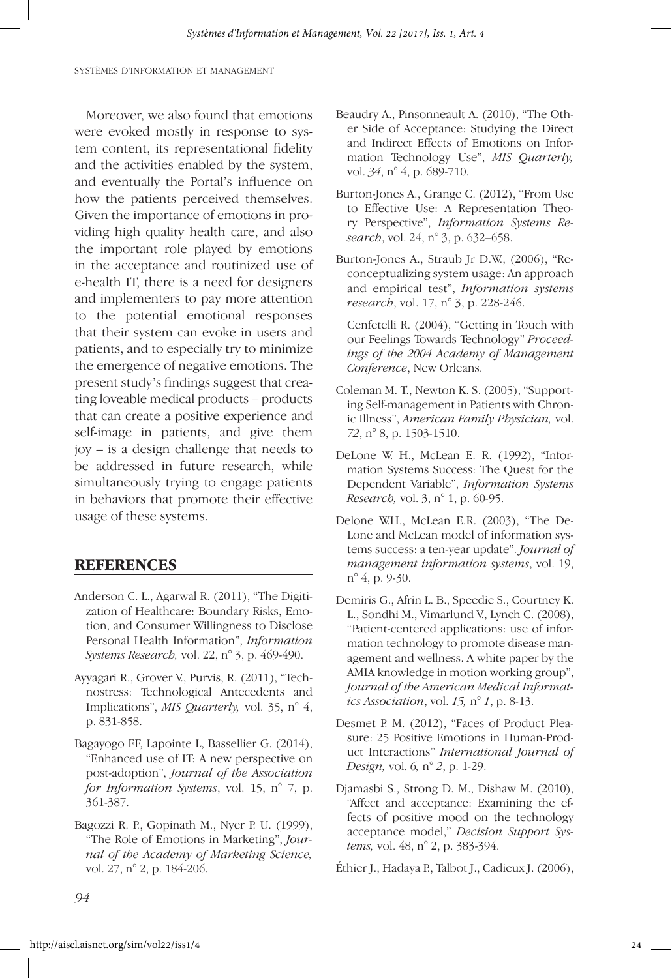Moreover, we also found that emotions were evoked mostly in response to system content, its representational fidelity and the activities enabled by the system, and eventually the Portal's influence on how the patients perceived themselves. Given the importance of emotions in providing high quality health care, and also the important role played by emotions in the acceptance and routinized use of e-health IT, there is a need for designers and implementers to pay more attention to the potential emotional responses that their system can evoke in users and patients, and to especially try to minimize the emergence of negative emotions. The present study's findings suggest that creating loveable medical products – products that can create a positive experience and self-image in patients, and give them joy – is a design challenge that needs to be addressed in future research, while simultaneously trying to engage patients in behaviors that promote their effective usage of these systems.

#### **REFERENCES**

- Anderson C. L., Agarwal R. (2011), "The Digitization of Healthcare: Boundary Risks, Emotion, and Consumer Willingness to Disclose Personal Health Information", *Information Systems Research,* vol. 22, n° 3, p. 469-490.
- Ayyagari R., Grover V., Purvis, R. (2011), "Technostress: Technological Antecedents and Implications", *MIS Quarterly,* vol. 35, n° 4, p. 831-858.
- Bagayogo FF, Lapointe L, Bassellier G. (2014), "Enhanced use of IT: A new perspective on post-adoption", *Journal of the Association for Information Systems*, vol. 15, n° 7, p. 361-387.
- Bagozzi R. P., Gopinath M., Nyer P. U. (1999), "The Role of Emotions in Marketing", *Journal of the Academy of Marketing Science,*  vol. 27, n° 2, p. 184-206.
- Beaudry A., Pinsonneault A. (2010), "The Other Side of Acceptance: Studying the Direct and Indirect Effects of Emotions on Information Technology Use", *MIS Quarterly,*  vol. *34*, n° 4, p. 689-710.
- Burton-Jones A., Grange C. (2012), "From Use to Effective Use: A Representation Theory Perspective", *Information Systems Research*, vol. 24, n° 3, p. 632–658.
- Burton-Jones A., Straub Jr D.W., (2006), "Reconceptualizing system usage: An approach and empirical test", *Information systems research*, vol. 17, n° 3, p. 228-246.

 Cenfetelli R. (2004), "Getting in Touch with our Feelings Towards Technology" *Proceedings of the 2004 Academy of Management Conference*, New Orleans.

- Coleman M. T., Newton K. S. (2005), "Supporting Self-management in Patients with Chronic Illness", *American Family Physician,* vol. *72*, n° 8, p. 1503-1510.
- DeLone W. H., McLean E. R. (1992), "Information Systems Success: The Quest for the Dependent Variable", *Information Systems Research,* vol. 3, n° 1, p. 60-95.
- Delone W.H., McLean E.R. (2003), "The De-Lone and McLean model of information systems success: a ten-year update". *Journal of management information systems*, vol. 19, n° 4, p. 9-30.
- Demiris G., Afrin L. B., Speedie S., Courtney K. L., Sondhi M., Vimarlund V., Lynch C. (2008), "Patient-centered applications: use of information technology to promote disease management and wellness. A white paper by the AMIA knowledge in motion working group", *Journal of the American Medical Informatics Association*, vol. *15,* n° *1*, p. 8-13.
- Desmet P. M. (2012), "Faces of Product Pleasure: 25 Positive Emotions in Human-Product Interactions" *International Journal of Design,* vol. *6,* n° *2*, p. 1-29.
- Djamasbi S., Strong D. M., Dishaw M. (2010), "Affect and acceptance: Examining the effects of positive mood on the technology acceptance model," *Decision Support Systems,* vol. 48, n° 2, p. 383-394.

Éthier J., Hadaya P., Talbot J., Cadieux J. (2006),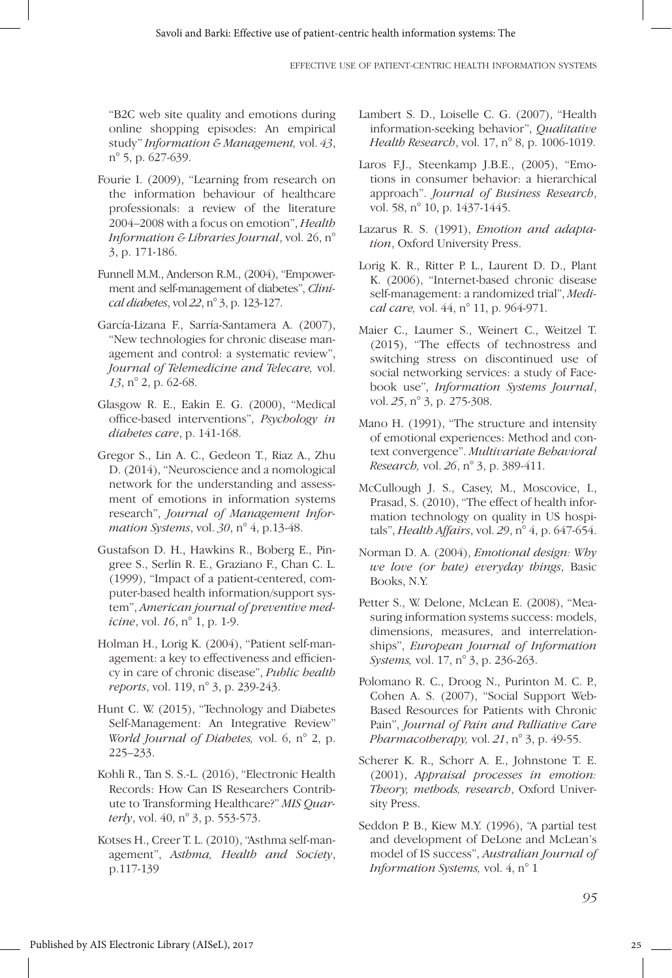"B2C web site quality and emotions during online shopping episodes: An empirical study" *Information & Management,* vol. *43*, n° 5, p. 627-639.

- Fourie I. (2009), "Learning from research on the information behaviour of healthcare professionals: a review of the literature 2004–2008 with a focus on emotion", *Health Information & Libraries Journal*, vol. 26, n° 3, p. 171-186.
- Funnell M.M., Anderson R.M., (2004), "Empowerment and self-management of diabetes", *Clinical diabetes*, vol *22*, n° 3, p. 123-127.
- García-Lizana F., Sarría-Santamera A. (2007), "New technologies for chronic disease management and control: a systematic review", *Journal of Telemedicine and Telecare,* vol. *13*, n° 2, p. 62-68.
- Glasgow R. E., Eakin E. G. (2000), "Medical office-based interventions", *Psychology in diabetes care*, p. 141-168.
- Gregor S., Lin A. C., Gedeon T., Riaz A., Zhu D. (2014), "Neuroscience and a nomological network for the understanding and assessment of emotions in information systems research", *Journal of Management Information Systems*, vol. *30*, n° 4, p.13-48.
- Gustafson D. H., Hawkins R., Boberg E., Pingree S., Serlin R. E., Graziano F., Chan C. L. (1999), "Impact of a patient-centered, computer-based health information/support system", *American journal of preventive medicine*, vol. *16*, n° 1, p. 1-9.
- Holman H., Lorig K. (2004), "Patient self-management: a key to effectiveness and efficiency in care of chronic disease", *Public health reports*, vol. 119, n° 3, p. 239-243.
- Hunt C. W. (2015), "Technology and Diabetes Self-Management: An Integrative Review" *World Journal of Diabetes,* vol. 6, n° 2, p. 225–233.
- Kohli R., Tan S. S.-L. (2016), "Electronic Health Records: How Can IS Researchers Contribute to Transforming Healthcare?" *MIS Quarterly*, vol. 40, n° 3, p. 553-573.
- Kotses H., Creer T. L. (2010), "Asthma self-management", *Asthma, Health and Society*, p.117-139
- Lambert S. D., Loiselle C. G. (2007), "Health information-seeking behavior", *Qualitative Health Research*, vol. 17, n° 8, p. 1006-1019.
- Laros F.J., Steenkamp J.B.E., (2005), "Emotions in consumer behavior: a hierarchical approach". *Journal of Business Research*, vol. 58, n° 10, p. 1437-1445.
- Lazarus R. S. (1991), *Emotion and adaptation*, Oxford University Press.
- Lorig K. R., Ritter P. L., Laurent D. D., Plant K. (2006), "Internet-based chronic disease self-management: a randomized trial", *Medical care,* vol. 44, n° 11, p. 964-971.
- Maier C., Laumer S., Weinert C., Weitzel T. (2015), "The effects of technostress and switching stress on discontinued use of social networking services: a study of Facebook use", *Information Systems Journal*, vol. *25*, n° 3, p. 275-308.
- Mano H. (1991), "The structure and intensity of emotional experiences: Method and context convergence". *Multivariate Behavioral Research,* vol. *26*, n° 3, p. 389-411.
- McCullough J. S., Casey, M., Moscovice, I., Prasad, S. (2010), "The effect of health information technology on quality in US hospitals", *Health Affairs*, vol. *29*, n° 4, p. 647-654.
- Norman D. A. (2004), *Emotional design: Why we love (or hate) everyday things*, Basic Books, N.Y.
- Petter S., W. Delone, McLean E. (2008), "Measuring information systems success: models, dimensions, measures, and interrelationships", *European Journal of Information Systems,* vol. 17, n° 3, p. 236-263.
- Polomano R. C., Droog N., Purinton M. C. P., Cohen A. S. (2007), "Social Support Web-Based Resources for Patients with Chronic Pain", *Journal of Pain and Palliative Care Pharmacotherapy,* vol. *21*, n° 3, p. 49-55.
- Scherer K. R., Schorr A. E., Johnstone T. E. (2001), *Appraisal processes in emotion: Theory, methods, research*, Oxford University Press.
- Seddon P. B., Kiew M.Y. (1996), "A partial test and development of DeLone and McLean's model of IS success", *Australian Journal of Information Systems,* vol. 4, n° 1